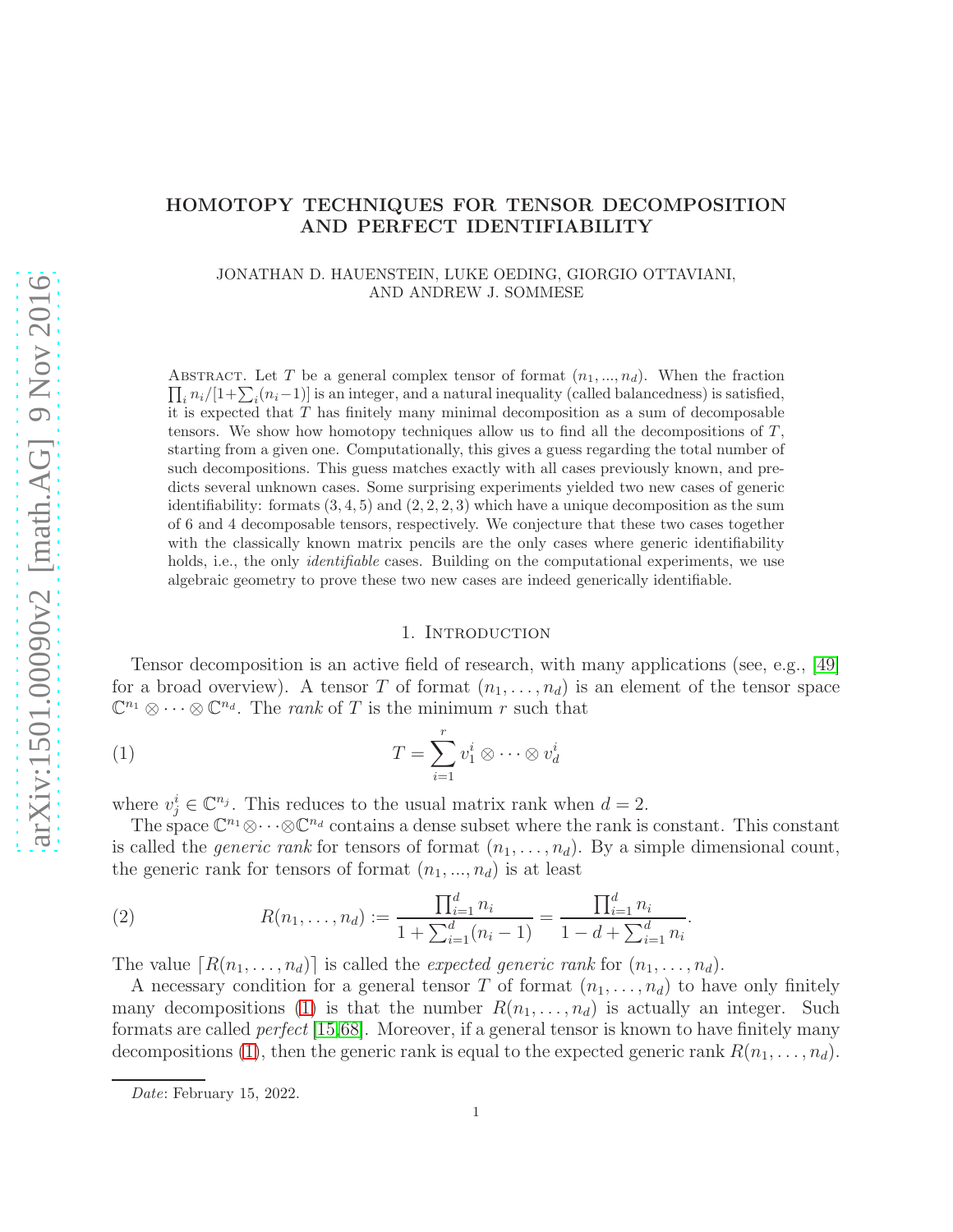# arXiv:1501.00090v2 [math.AG] 9 Nov 2016 [arXiv:1501.00090v2 \[math.AG\] 9 Nov 2016](http://arxiv.org/abs/1501.00090v2)

# HOMOTOPY TECHNIQUES FOR TENSOR DECOMPOSITION AND PERFECT IDENTIFIABILITY

JONATHAN D. HAUENSTEIN, LUKE OEDING, GIORGIO OTTAVIANI, AND ANDREW J. SOMMESE

ABSTRACT. Let T be a general complex tensor of format  $(n_1, ..., n_d)$ . When the fraction  $\prod_i n_i/[1+\sum_i (n_i-1)]$  is an integer, and a natural inequality (called balancedness) is satisfied, it is expected that T has finitely many minimal decomposition as a sum of decomposable tensors. We show how homotopy techniques allow us to find all the decompositions of  $T$ , starting from a given one. Computationally, this gives a guess regarding the total number of such decompositions. This guess matches exactly with all cases previously known, and predicts several unknown cases. Some surprising experiments yielded two new cases of generic identifiability: formats  $(3, 4, 5)$  and  $(2, 2, 2, 3)$  which have a unique decomposition as the sum of 6 and 4 decomposable tensors, respectively. We conjecture that these two cases together with the classically known matrix pencils are the only cases where generic identifiability holds, i.e., the only *identifiable* cases. Building on the computational experiments, we use algebraic geometry to prove these two new cases are indeed generically identifiable.

### <span id="page-0-0"></span>1. INTRODUCTION

Tensor decomposition is an active field of research, with many applications (see, e.g., [\[49\]](#page-19-0) for a broad overview). A tensor T of format  $(n_1, \ldots, n_d)$  is an element of the tensor space  $\mathbb{C}^{n_1} \otimes \cdots \otimes \mathbb{C}^{n_d}$ . The *rank* of T is the minimum r such that

(1) 
$$
T = \sum_{i=1}^{r} v_1^i \otimes \cdots \otimes v_d^i
$$

where  $v_j^i \in \mathbb{C}^{n_j}$ . This reduces to the usual matrix rank when  $d = 2$ .

The space  $\mathbb{C}^{n_1}\otimes\cdots\otimes\mathbb{C}^{n_d}$  contains a dense subset where the rank is constant. This constant is called the *generic rank* for tensors of format  $(n_1, \ldots, n_d)$ . By a simple dimensional count, the generic rank for tensors of format  $(n_1, ..., n_d)$  is at least

.

<span id="page-0-1"></span>(2) 
$$
R(n_1, \ldots, n_d) := \frac{\prod_{i=1}^d n_i}{1 + \sum_{i=1}^d (n_i - 1)} = \frac{\prod_{i=1}^d n_i}{1 - d + \sum_{i=1}^d n_i}
$$

The value  $[R(n_1, \ldots, n_d)]$  is called the expected generic rank for  $(n_1, \ldots, n_d)$ .

A necessary condition for a general tensor T of format  $(n_1, \ldots, n_d)$  to have only finitely many decompositions [\(1\)](#page-0-0) is that the number  $R(n_1, \ldots, n_d)$  is actually an integer. Such formats are called perfect [\[15,](#page-18-0)[68\]](#page-20-0). Moreover, if a general tensor is known to have finitely many decompositions [\(1\)](#page-0-0), then the generic rank is equal to the expected generic rank  $R(n_1, \ldots, n_d)$ .

Date: February 15, 2022.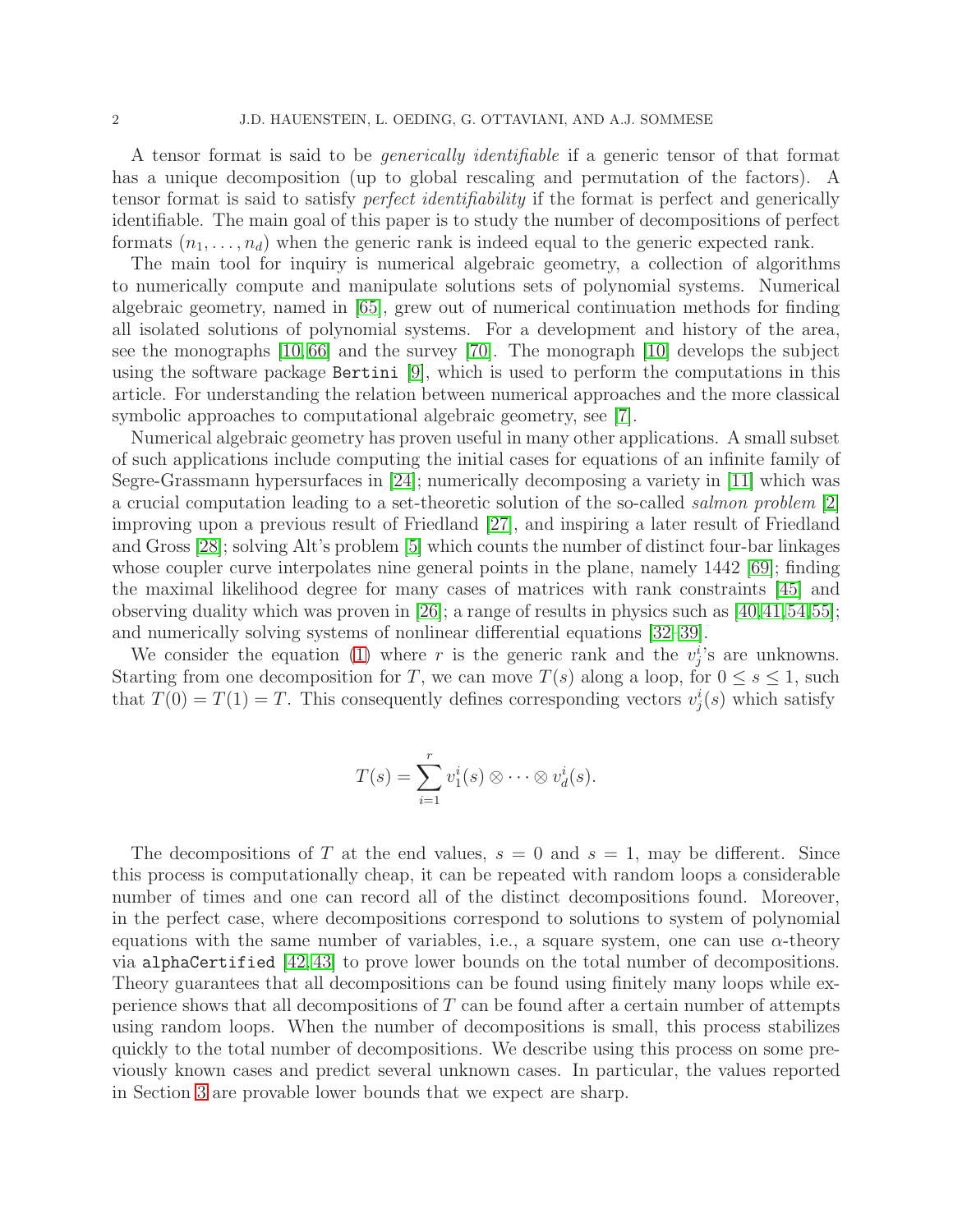A tensor format is said to be generically identifiable if a generic tensor of that format has a unique decomposition (up to global rescaling and permutation of the factors). A tensor format is said to satisfy perfect identifiability if the format is perfect and generically identifiable. The main goal of this paper is to study the number of decompositions of perfect formats  $(n_1, \ldots, n_d)$  when the generic rank is indeed equal to the generic expected rank.

The main tool for inquiry is numerical algebraic geometry, a collection of algorithms to numerically compute and manipulate solutions sets of polynomial systems. Numerical algebraic geometry, named in [\[65\]](#page-20-1), grew out of numerical continuation methods for finding all isolated solutions of polynomial systems. For a development and history of the area, see the monographs [\[10,](#page-17-0) [66\]](#page-20-2) and the survey [\[70\]](#page-20-3). The monograph [\[10\]](#page-17-0) develops the subject using the software package Bertini [\[9\]](#page-17-1), which is used to perform the computations in this article. For understanding the relation between numerical approaches and the more classical symbolic approaches to computational algebraic geometry, see [\[7\]](#page-17-2).

Numerical algebraic geometry has proven useful in many other applications. A small subset of such applications include computing the initial cases for equations of an infinite family of Segre-Grassmann hypersurfaces in [\[24\]](#page-18-1); numerically decomposing a variety in [\[11\]](#page-17-3) which was a crucial computation leading to a set-theoretic solution of the so-called salmon problem [\[2\]](#page-17-4) improving upon a previous result of Friedland [\[27\]](#page-18-2), and inspiring a later result of Friedland and Gross [\[28\]](#page-18-3); solving Alt's problem [\[5\]](#page-17-5) which counts the number of distinct four-bar linkages whose coupler curve interpolates nine general points in the plane, namely 1442 [\[69\]](#page-20-4); finding the maximal likelihood degree for many cases of matrices with rank constraints [\[45\]](#page-19-1) and observing duality which was proven in [\[26\]](#page-18-4); a range of results in physics such as  $(40, 41, 54, 55)$  $(40, 41, 54, 55)$  $(40, 41, 54, 55)$  $(40, 41, 54, 55)$  $(40, 41, 54, 55)$ ; and numerically solving systems of nonlinear differential equations [\[32](#page-18-5)[–39\]](#page-19-6).

We consider the equation [\(1\)](#page-0-0) where r is the generic rank and the  $v_j^i$ 's are unknowns. Starting from one decomposition for T, we can move  $T(s)$  along a loop, for  $0 \le s \le 1$ , such that  $T(0) = T(1) = T$ . This consequently defines corresponding vectors  $v_j^i(s)$  which satisfy

$$
T(s) = \sum_{i=1}^{r} v_1^i(s) \otimes \cdots \otimes v_d^i(s).
$$

The decompositions of T at the end values,  $s = 0$  and  $s = 1$ , may be different. Since this process is computationally cheap, it can be repeated with random loops a considerable number of times and one can record all of the distinct decompositions found. Moreover, in the perfect case, where decompositions correspond to solutions to system of polynomial equations with the same number of variables, i.e., a square system, one can use  $\alpha$ -theory via alphaCertified [\[42,](#page-19-7) [43\]](#page-19-8) to prove lower bounds on the total number of decompositions. Theory guarantees that all decompositions can be found using finitely many loops while experience shows that all decompositions of T can be found after a certain number of attempts using random loops. When the number of decompositions is small, this process stabilizes quickly to the total number of decompositions. We describe using this process on some previously known cases and predict several unknown cases. In particular, the values reported in Section [3](#page-5-0) are provable lower bounds that we expect are sharp.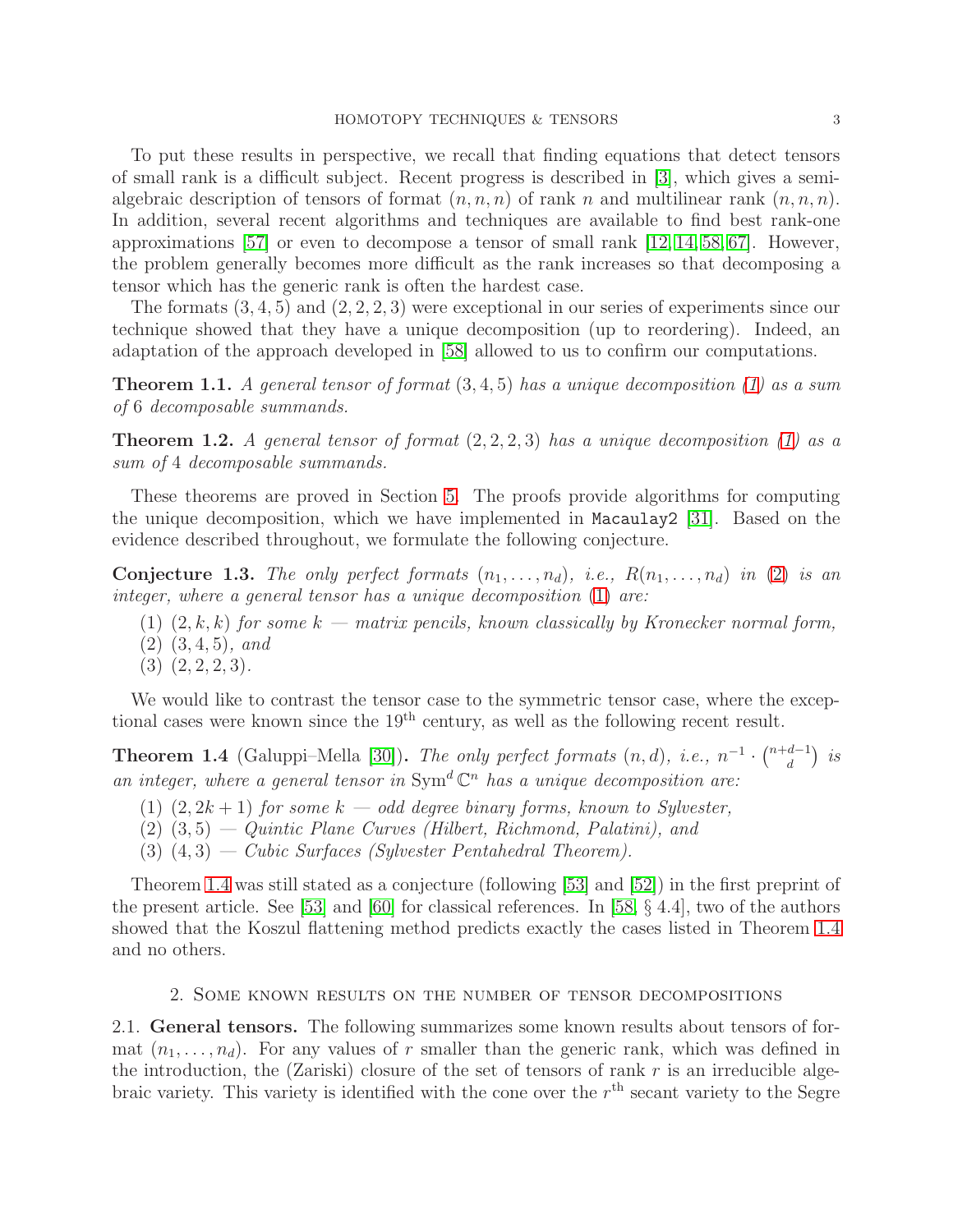To put these results in perspective, we recall that finding equations that detect tensors of small rank is a difficult subject. Recent progress is described in [\[3\]](#page-17-6), which gives a semialgebraic description of tensors of format  $(n, n, n)$  of rank n and multilinear rank  $(n, n, n)$ . In addition, several recent algorithms and techniques are available to find best rank-one approximations [\[57\]](#page-19-9) or even to decompose a tensor of small rank  $[12, 14, 58, 67]$  $[12, 14, 58, 67]$  $[12, 14, 58, 67]$  $[12, 14, 58, 67]$ . However, the problem generally becomes more difficult as the rank increases so that decomposing a tensor which has the generic rank is often the hardest case.

The formats  $(3, 4, 5)$  and  $(2, 2, 2, 3)$  were exceptional in our series of experiments since our technique showed that they have a unique decomposition (up to reordering). Indeed, an adaptation of the approach developed in [\[58\]](#page-19-10) allowed to us to confirm our computations.

<span id="page-2-1"></span>**Theorem 1.1.** A general tensor of format  $(3, 4, 5)$  has a unique decomposition [\(1\)](#page-0-0) as a sum of 6 decomposable summands.

<span id="page-2-2"></span>**Theorem 1.2.** A general tensor of format  $(2, 2, 2, 3)$  has a unique decomposition  $(1)$  as a sum of 4 decomposable summands.

These theorems are proved in Section [5.](#page-10-0) The proofs provide algorithms for computing the unique decomposition, which we have implemented in Macaulay2 [\[31\]](#page-18-7). Based on the evidence described throughout, we formulate the following conjecture.

Conjecture 1.3. The only perfect formats  $(n_1, \ldots, n_d)$ , i.e.,  $R(n_1, \ldots, n_d)$  in [\(2\)](#page-0-1) is an integer, where a general tensor has a unique decomposition [\(1\)](#page-0-0) are:

- (1)  $(2, k, k)$  for some  $k$  matrix pencils, known classically by Kronecker normal form,
- (2) (3, 4, 5), and
- $(3)$   $(2, 2, 2, 3)$ .

We would like to contrast the tensor case to the symmetric tensor case, where the exceptional cases were known since the  $19<sup>th</sup>$  century, as well as the following recent result.

<span id="page-2-0"></span>**Theorem 1.4** (Galuppi–Mella [\[30\]](#page-18-8)). The only perfect formats  $(n, d)$ , i.e.,  $n^{-1} \cdot {n+d-1 \choose d}$  $\binom{d-1}{d}$  is an integer, where a general tensor in  $Sym^d \mathbb{C}^n$  has a unique decomposition are:

- (1)  $(2, 2k+1)$  for some  $k odd$  degree binary forms, known to Sylvester,
- $(2)$   $(3, 5)$  Quintic Plane Curves (Hilbert, Richmond, Palatini), and
- (3)  $(4, 3)$  Cubic Surfaces (Sylvester Pentahedral Theorem).

Theorem [1.4](#page-2-0) was still stated as a conjecture (following [\[53\]](#page-19-11) and [\[52\]](#page-19-12)) in the first preprint of the present article. See [\[53\]](#page-19-11) and [\[60\]](#page-19-13) for classical references. In [\[58,](#page-19-10) § 4.4], two of the authors showed that the Koszul flattening method predicts exactly the cases listed in Theorem [1.4](#page-2-0) and no others.

## 2. Some known results on the number of tensor decompositions

2.1. General tensors. The following summarizes some known results about tensors of format  $(n_1, \ldots, n_d)$ . For any values of r smaller than the generic rank, which was defined in the introduction, the (Zariski) closure of the set of tensors of rank  $r$  is an irreducible algebraic variety. This variety is identified with the cone over the  $r<sup>th</sup>$  secant variety to the Segre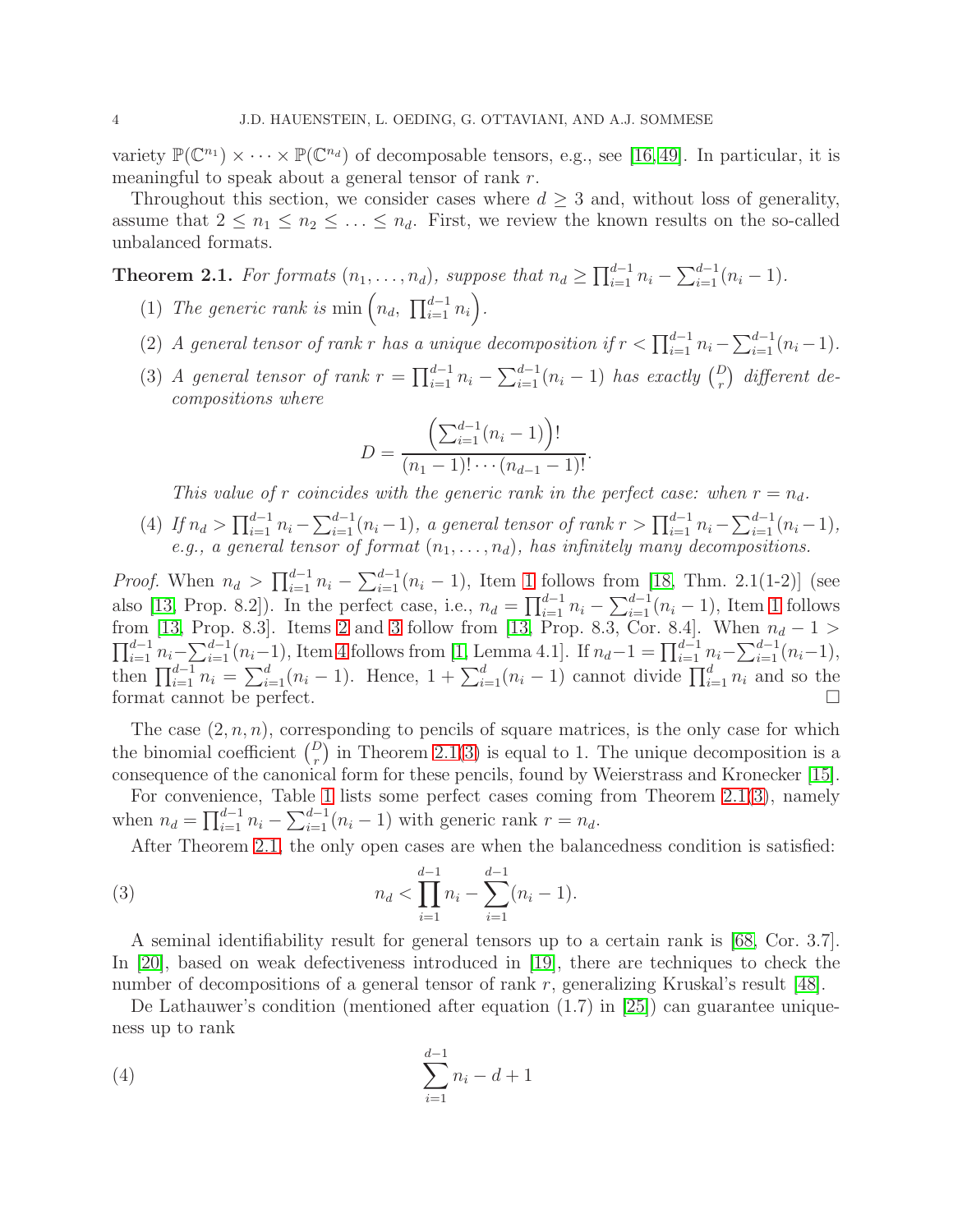variety  $\mathbb{P}(\mathbb{C}^{n_1}) \times \cdots \times \mathbb{P}(\mathbb{C}^{n_d})$  of decomposable tensors, e.g., see [\[16,](#page-18-9)49]. In particular, it is meaningful to speak about a general tensor of rank r.

Throughout this section, we consider cases where  $d \geq 3$  and, without loss of generality, assume that  $2 \leq n_1 \leq n_2 \leq \ldots \leq n_d$ . First, we review the known results on the so-called unbalanced formats.

<span id="page-3-4"></span><span id="page-3-0"></span>**Theorem 2.1.** For formats  $(n_1, \ldots, n_d)$ , suppose that  $n_d \ge \prod_{i=1}^{d-1} n_i - \sum_{i=1}^{d-1} (n_i - 1)$ .

- <span id="page-3-1"></span>(1) The generic rank is min  $\left(n_d, \prod_{i=1}^{d-1} n_i\right)$ .
- <span id="page-3-2"></span>(2) A general tensor of rank r has a unique decomposition if  $r < \prod_{i=1}^{d-1} n_i - \sum_{i=1}^{d-1} (n_i - 1)$ .
- (3) A general tensor of rank  $r = \prod_{i=1}^{d-1} n_i \sum_{i=1}^{d-1} (n_i 1)$  has exactly  $\binom{D}{r}$  different decompositions where

$$
D = \frac{\left(\sum_{i=1}^{d-1} (n_i - 1)\right)!}{(n_1 - 1)! \cdots (n_{d-1} - 1)!}.
$$

This value of r coincides with the generic rank in the perfect case: when  $r = n_d$ .

<span id="page-3-3"></span>(4) If  $n_d > \prod_{i=1}^{d-1} n_i - \sum_{i=1}^{d-1} (n_i - 1)$ , a general tensor of rank  $r > \prod_{i=1}^{d-1} n_i - \sum_{i=1}^{d-1} (n_i - 1)$ , e.g., a general tensor of format  $(n_1, \ldots, n_d)$ , has infinitely many decompositions.

*Proof.* When  $n_d > \prod_{i=1}^{d-1} n_i - \sum_{i=1}^{d-1} (n_i - 1)$  $n_d > \prod_{i=1}^{d-1} n_i - \sum_{i=1}^{d-1} (n_i - 1)$  $n_d > \prod_{i=1}^{d-1} n_i - \sum_{i=1}^{d-1} (n_i - 1)$ , Item 1 follows from [\[18,](#page-18-10) Thm. 2.1(1-2)] (see also [\[13,](#page-18-11) Prop. 8.2]). In the perfect case, i.e.,  $n_d = \prod_{i=1}^{d-1} n_i - \sum_{i=1}^{d-1} (n_i - 1)$  $n_d = \prod_{i=1}^{d-1} n_i - \sum_{i=1}^{d-1} (n_i - 1)$  $n_d = \prod_{i=1}^{d-1} n_i - \sum_{i=1}^{d-1} (n_i - 1)$ , Item 1 follows from [\[13,](#page-18-11) Prop. 8.3]. Items [2](#page-3-1) and [3](#page-3-2) follow from [13, Prop. 8.3, Cor. 8.4]. When  $n_d - 1 >$  $\prod_{i=1}^{d-1} n_i - \sum_{i=1}^{d-1} (n_i-1)$ , Item [4](#page-3-3) follows from [\[1,](#page-17-8) Lemma 4.1]. If  $n_d-1 = \prod_{i=1}^{d-1} n_i - \sum_{i=1}^{d-1} (n_i-1)$ , then  $\prod_{i=1}^{d-1} n_i = \sum_{i=1}^d (n_i - 1)$ . Hence,  $1 + \sum_{i=1}^d (n_i - 1)$  cannot divide  $\prod_{i=1}^d n_i$  and so the format cannot be perfect.

The case  $(2, n, n)$ , corresponding to pencils of square matrices, is the only case for which the binomial coefficient  $\binom{D}{r}$  in Theorem [2.1\(](#page-3-4)[3\)](#page-3-2) is equal to 1. The unique decomposition is a consequence of the canonical form for these pencils, found by Weierstrass and Kronecker [\[15\]](#page-18-0).

For convenience, Table [1](#page-4-0) lists some perfect cases coming from Theorem [2.1](#page-3-4)[\(3\)](#page-3-2), namely when  $n_d = \prod_{i=1}^{d-1} n_i - \sum_{i=1}^{d-1} (n_i - 1)$  with generic rank  $r = n_d$ .

<span id="page-3-6"></span>After Theorem [2.1,](#page-3-4) the only open cases are when the balancedness condition is satisfied:

(3) 
$$
n_d < \prod_{i=1}^{d-1} n_i - \sum_{i=1}^{d-1} (n_i - 1).
$$

A seminal identifiability result for general tensors up to a certain rank is [\[68,](#page-20-0) Cor. 3.7]. In [\[20\]](#page-18-12), based on weak defectiveness introduced in [\[19\]](#page-18-13), there are techniques to check the number of decompositions of a general tensor of rank r, generalizing Kruskal's result [\[48\]](#page-19-14).

De Lathauwer's condition (mentioned after equation (1.7) in [\[25\]](#page-18-14)) can guarantee uniqueness up to rank

<span id="page-3-5"></span>(4) 
$$
\sum_{i=1}^{d-1} n_i - d + 1
$$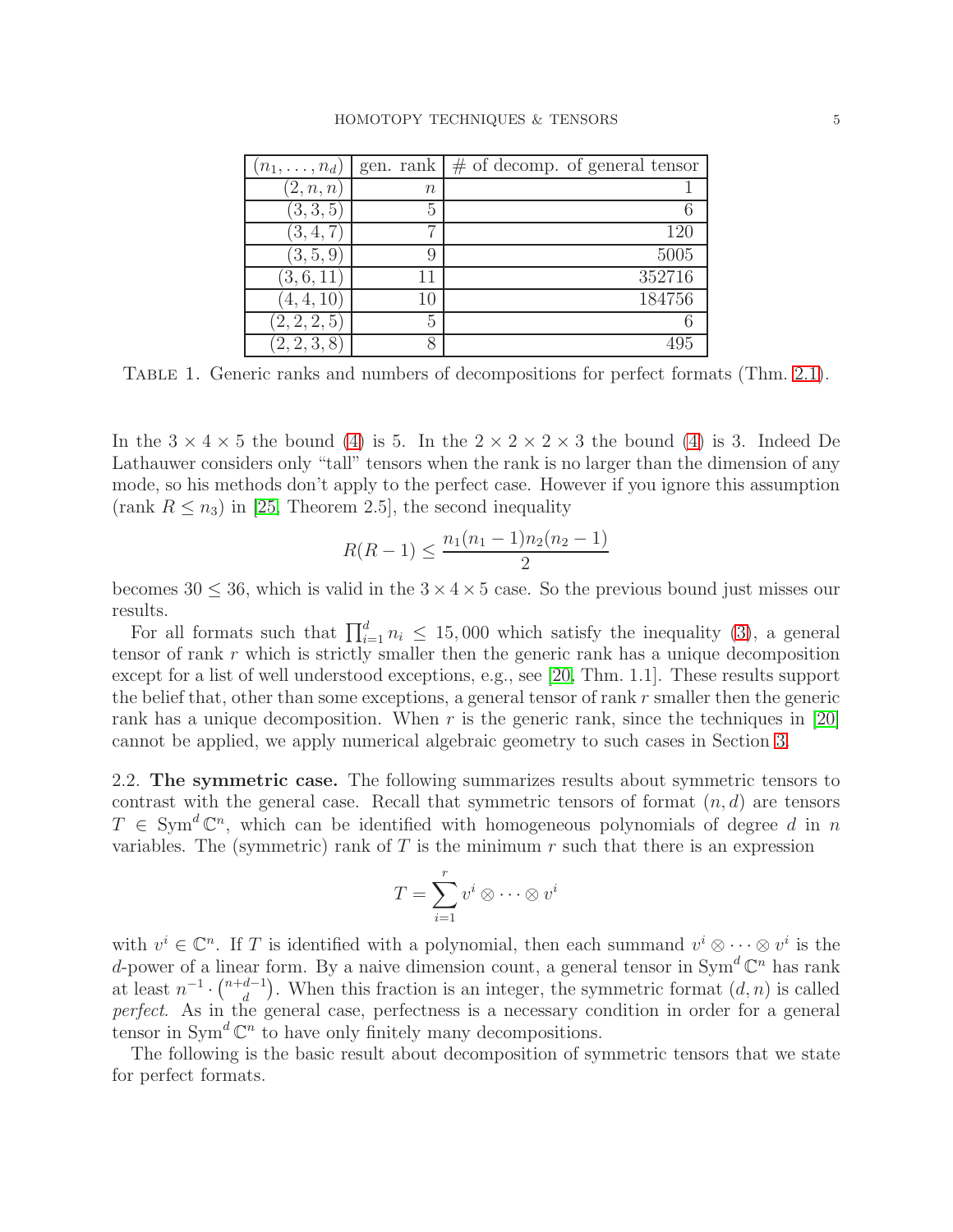| $(n_1,\ldots,n_d)$ |        | gen. rank $\mid \#$ of decomp. of general tensor |
|--------------------|--------|--------------------------------------------------|
| (2, n, n)          | $\, n$ |                                                  |
| (3,3,5)            | 5      |                                                  |
| (3, 4, 7)          |        | 120                                              |
| (3, 5, 9)          | 9      | 5005                                             |
| (3,6,11)           | 11     | 352716                                           |
| (4, 4, 10)         | 10     | 184756                                           |
| (2, 2, 2, 5)       | 5      |                                                  |
| (2, 2, 3, 8)       | x      |                                                  |

<span id="page-4-0"></span>Table 1. Generic ranks and numbers of decompositions for perfect formats (Thm. [2.1\)](#page-3-4).

In the  $3 \times 4 \times 5$  the bound [\(4\)](#page-3-5) is 5. In the  $2 \times 2 \times 2 \times 3$  the bound (4) is 3. Indeed De Lathauwer considers only "tall" tensors when the rank is no larger than the dimension of any mode, so his methods don't apply to the perfect case. However if you ignore this assumption (rank  $R \le n_3$ ) in [\[25,](#page-18-14) Theorem 2.5], the second inequality

$$
R(R-1) \le \frac{n_1(n_1-1)n_2(n_2-1)}{2}
$$

becomes  $30 \leq 36$ , which is valid in the  $3 \times 4 \times 5$  case. So the previous bound just misses our results.

For all formats such that  $\prod_{i=1}^{d} n_i \leq 15,000$  which satisfy the inequality [\(3\)](#page-3-6), a general tensor of rank r which is strictly smaller then the generic rank has a unique decomposition except for a list of well understood exceptions, e.g., see [\[20,](#page-18-12) Thm. 1.1]. These results support the belief that, other than some exceptions, a general tensor of rank r smaller then the generic rank has a unique decomposition. When  $r$  is the generic rank, since the techniques in [\[20\]](#page-18-12) cannot be applied, we apply numerical algebraic geometry to such cases in Section [3.](#page-5-0)

2.2. The symmetric case. The following summarizes results about symmetric tensors to contrast with the general case. Recall that symmetric tensors of format  $(n, d)$  are tensors  $T \in \text{Sym}^d \mathbb{C}^n$ , which can be identified with homogeneous polynomials of degree d in n variables. The (symmetric) rank of  $T$  is the minimum  $r$  such that there is an expression

$$
T = \sum_{i=1}^{r} v^i \otimes \cdots \otimes v^i
$$

with  $v^i \in \mathbb{C}^n$ . If T is identified with a polynomial, then each summand  $v^i \otimes \cdots \otimes v^i$  is the d-power of a linear form. By a naive dimension count, a general tensor in  $Sym^d \mathbb{C}^n$  has rank at least  $n^{-1} \cdot {n+d-1 \choose d}$  $\binom{d-1}{d}$ . When this fraction is an integer, the symmetric format  $(d, n)$  is called perfect. As in the general case, perfectness is a necessary condition in order for a general tensor in  $Sym^d \mathbb{C}^n$  to have only finitely many decompositions.

The following is the basic result about decomposition of symmetric tensors that we state for perfect formats.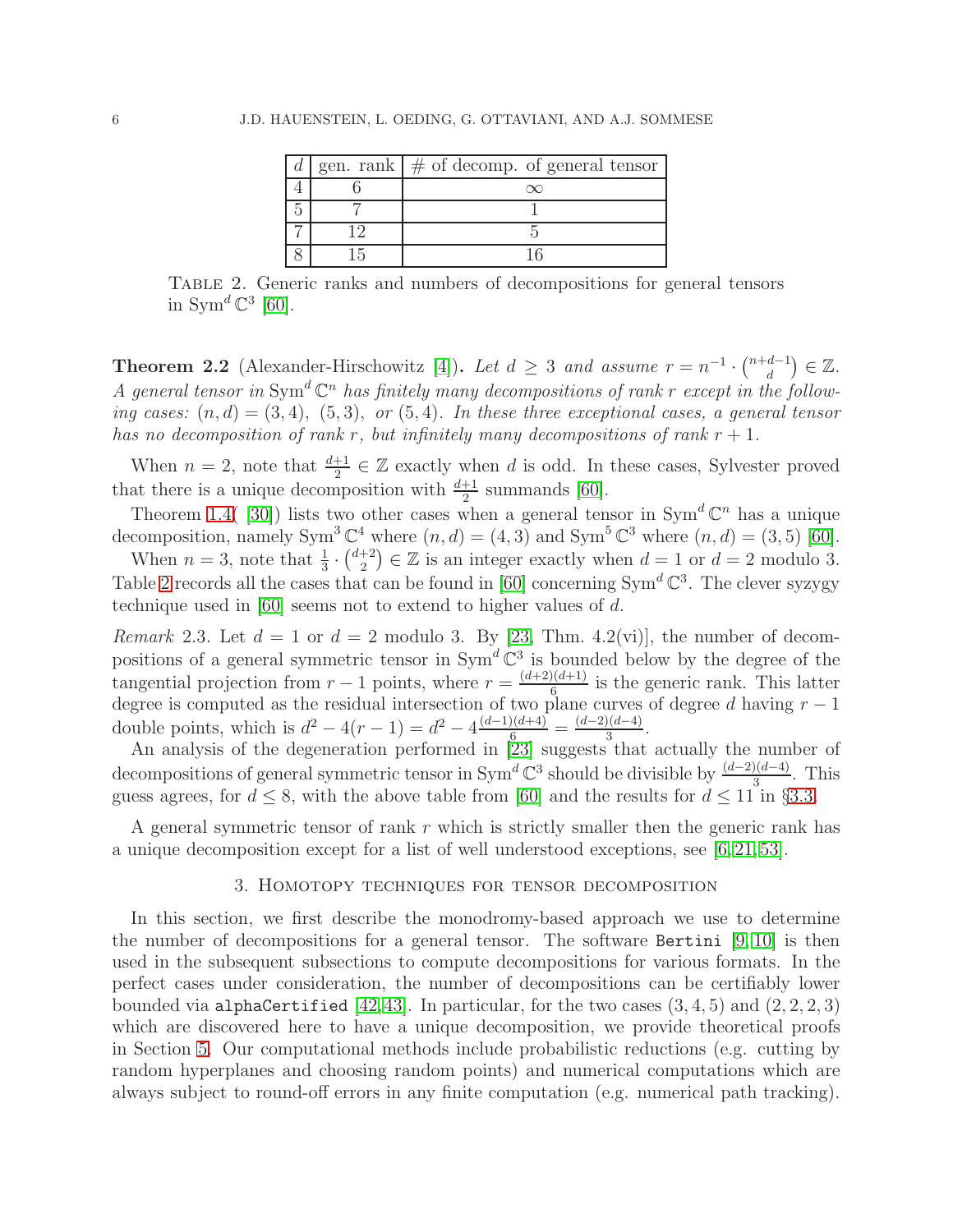|  | gen. rank $\mid \#$ of decomp. of general tensor |
|--|--------------------------------------------------|
|  |                                                  |
|  |                                                  |
|  |                                                  |
|  |                                                  |

<span id="page-5-1"></span>Table 2. Generic ranks and numbers of decompositions for general tensors in Sym<sup> $d \mathbb{C}^3$  [\[60\]](#page-19-13).</sup>

**Theorem 2.2** (Alexander-Hirschowitz [\[4\]](#page-17-9)). Let  $d \geq 3$  and assume  $r = n^{-1} \cdot {n+d-1 \choose d}$  $\binom{d-1}{d} \in \mathbb{Z}$ . A general tensor in Sym<sup>d</sup>  $\mathbb{C}^n$  has finitely many decompositions of rank r except in the following cases:  $(n, d) = (3, 4), (5, 3), or (5, 4).$  In these three exceptional cases, a general tensor has no decomposition of rank r, but infinitely many decompositions of rank  $r + 1$ .

When  $n = 2$ , note that  $\frac{d+1}{2} \in \mathbb{Z}$  exactly when d is odd. In these cases, Sylvester proved that there is a unique decomposition with  $\frac{d+1}{2}$  summands [\[60\]](#page-19-13).

Theorem [1.4\(](#page-2-0)[30]) lists two other cases when a general tensor in  $Sym^d \mathbb{C}^n$  has a unique decomposition, namely Sym<sup>3</sup>  $\mathbb{C}^4$  where  $(n, d) = (4, 3)$  and Sym<sup>5</sup>  $\mathbb{C}^3$  where  $(n, d) = (3, 5)$  [\[60\]](#page-19-13).

When  $n=3$ , note that  $\frac{1}{3} \cdot {\binom{d+2}{2}}$  $\binom{+2}{2} \in \mathbb{Z}$  is an integer exactly when  $d = 1$  or  $d = 2$  modulo 3. Table [2](#page-5-1) records all the cases that can be found in [\[60\]](#page-19-13) concerning  $Sym^d \mathbb{C}^3$ . The clever syzygy technique used in [\[60\]](#page-19-13) seems not to extend to higher values of d.

<span id="page-5-2"></span>*Remark* 2.3. Let  $d = 1$  or  $d = 2$  modulo 3. By [\[23,](#page-18-15) Thm. 4.2(vi)], the number of decompositions of a general symmetric tensor in  $Sym^d \mathbb{C}^3$  is bounded below by the degree of the tangential projection from  $r-1$  points, where  $r = \frac{(d+2)(d+1)}{6}$  $\frac{1}{6}$  is the generic rank. This latter degree is computed as the residual intersection of two plane curves of degree d having  $r - 1$ double points, which is  $d^2 - 4(r - 1) = d^2 - 4 \frac{(d-1)(d+4)}{6} = \frac{(d-2)(d-4)}{3}$  $rac{a-4)}{3}$ .

An analysis of the degeneration performed in [\[23\]](#page-18-15) suggests that actually the number of decompositions of general symmetric tensor in  $Sym^d \mathbb{C}^3$  should be divisible by  $\frac{(d-2)(d-4)}{3}$ . This guess agrees, for  $d \leq 8$ , with the above table from [\[60\]](#page-19-13) and the results for  $d \leq 11$  in §[3.3.](#page-7-0)

<span id="page-5-0"></span>A general symmetric tensor of rank  $r$  which is strictly smaller then the generic rank has a unique decomposition except for a list of well understood exceptions, see [\[6,](#page-17-10) [21,](#page-18-16) [53\]](#page-19-11).

### 3. Homotopy techniques for tensor decomposition

In this section, we first describe the monodromy-based approach we use to determine the number of decompositions for a general tensor. The software Bertini  $[9, 10]$  $[9, 10]$  is then used in the subsequent subsections to compute decompositions for various formats. In the perfect cases under consideration, the number of decompositions can be certifiably lower bounded via alphaCertified  $[42, 43]$  $[42, 43]$  $[42, 43]$ . In particular, for the two cases  $(3, 4, 5)$  and  $(2, 2, 2, 3)$ which are discovered here to have a unique decomposition, we provide theoretical proofs in Section [5.](#page-10-0) Our computational methods include probabilistic reductions (e.g. cutting by random hyperplanes and choosing random points) and numerical computations which are always subject to round-off errors in any finite computation (e.g. numerical path tracking).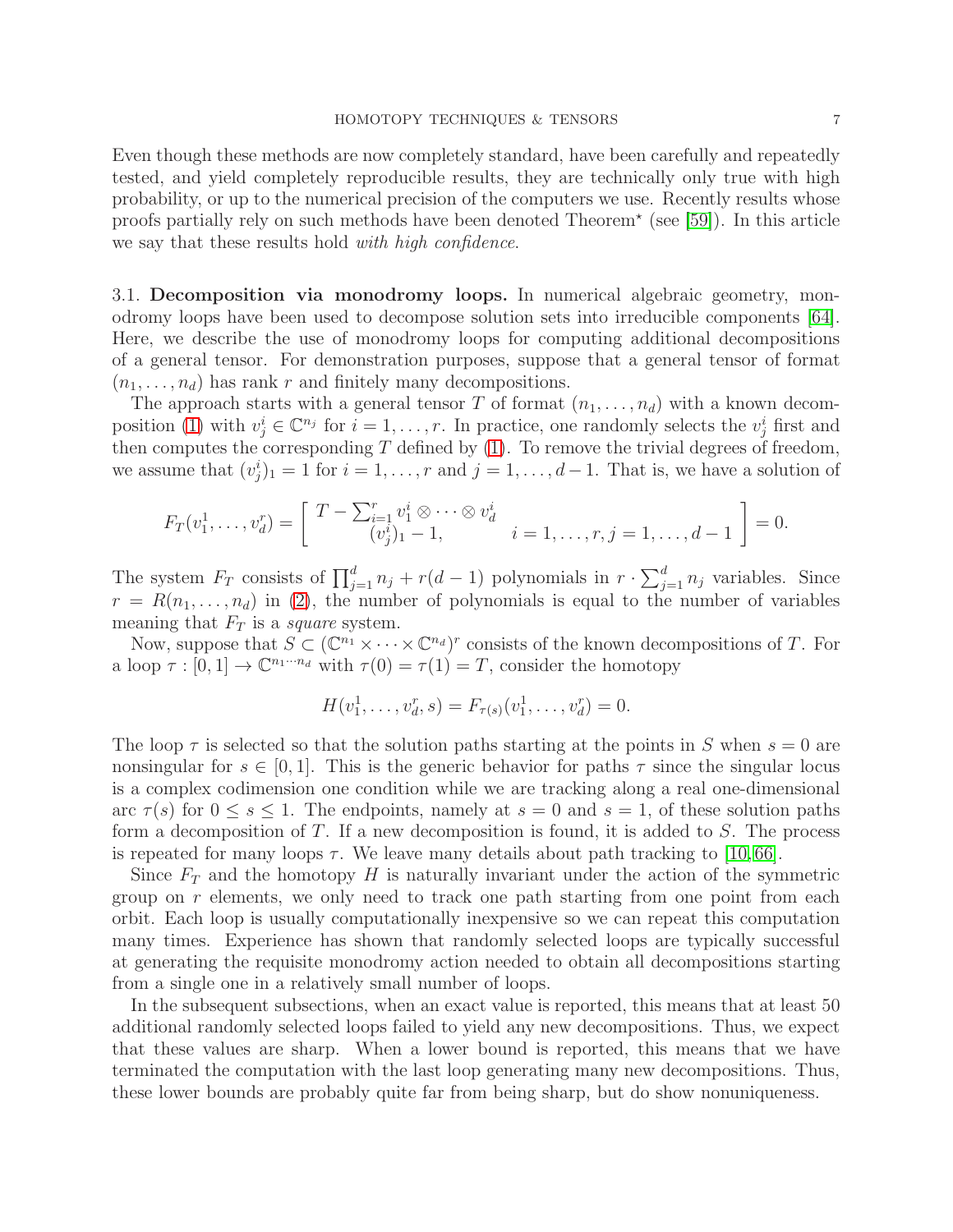Even though these methods are now completely standard, have been carefully and repeatedly tested, and yield completely reproducible results, they are technically only true with high probability, or up to the numerical precision of the computers we use. Recently results whose proofs partially rely on such methods have been denoted Theorem<sup>\*</sup> (see [\[59\]](#page-19-15)). In this article we say that these results hold *with high confidence*.

3.1. Decomposition via monodromy loops. In numerical algebraic geometry, monodromy loops have been used to decompose solution sets into irreducible components [\[64\]](#page-20-6). Here, we describe the use of monodromy loops for computing additional decompositions of a general tensor. For demonstration purposes, suppose that a general tensor of format  $(n_1, \ldots, n_d)$  has rank r and finitely many decompositions.

The approach starts with a general tensor T of format  $(n_1, \ldots, n_d)$  with a known decom-position [\(1\)](#page-0-0) with  $v_j^i \in \mathbb{C}^{n_j}$  for  $i = 1, \ldots, r$ . In practice, one randomly selects the  $v_j^i$  first and then computes the corresponding  $T$  defined by  $(1)$ . To remove the trivial degrees of freedom, we assume that  $(v_j^i)_1 = 1$  for  $i = 1, \ldots, r$  and  $j = 1, \ldots, d-1$ . That is, we have a solution of

$$
F_T(v_1^1, \ldots, v_d^r) = \begin{bmatrix} T - \sum_{i=1}^r v_1^i \otimes \cdots \otimes v_d^i \\ (v_j^i)_1 - 1, & i = 1, \ldots, r, j = 1, \ldots, d - 1 \end{bmatrix} = 0.
$$

The system  $F_T$  consists of  $\prod_{j=1}^d n_j + r(d-1)$  polynomials in  $r \cdot \sum_{j=1}^d n_j$  variables. Since  $r = R(n_1, \ldots, n_d)$  in [\(2\)](#page-0-1), the number of polynomials is equal to the number of variables meaning that  $F_T$  is a square system.

Now, suppose that  $S \subset (\mathbb{C}^{n_1} \times \cdots \times \mathbb{C}^{n_d})^r$  consists of the known decompositions of T. For a loop  $\tau : [0, 1] \to \mathbb{C}^{n_1 \cdots n_d}$  with  $\tau(0) = \tau(1) = T$ , consider the homotopy

$$
H(v_1^1, \ldots, v_d^r, s) = F_{\tau(s)}(v_1^1, \ldots, v_d^r) = 0.
$$

The loop  $\tau$  is selected so that the solution paths starting at the points in S when  $s = 0$  are nonsingular for  $s \in [0, 1]$ . This is the generic behavior for paths  $\tau$  since the singular locus is a complex codimension one condition while we are tracking along a real one-dimensional arc  $\tau(s)$  for  $0 \leq s \leq 1$ . The endpoints, namely at  $s = 0$  and  $s = 1$ , of these solution paths form a decomposition of T. If a new decomposition is found, it is added to S. The process is repeated for many loops  $\tau$ . We leave many details about path tracking to [\[10,](#page-17-0) [66\]](#page-20-2).

Since  $F_T$  and the homotopy H is naturally invariant under the action of the symmetric group on  $r$  elements, we only need to track one path starting from one point from each orbit. Each loop is usually computationally inexpensive so we can repeat this computation many times. Experience has shown that randomly selected loops are typically successful at generating the requisite monodromy action needed to obtain all decompositions starting from a single one in a relatively small number of loops.

In the subsequent subsections, when an exact value is reported, this means that at least 50 additional randomly selected loops failed to yield any new decompositions. Thus, we expect that these values are sharp. When a lower bound is reported, this means that we have terminated the computation with the last loop generating many new decompositions. Thus, these lower bounds are probably quite far from being sharp, but do show nonuniqueness.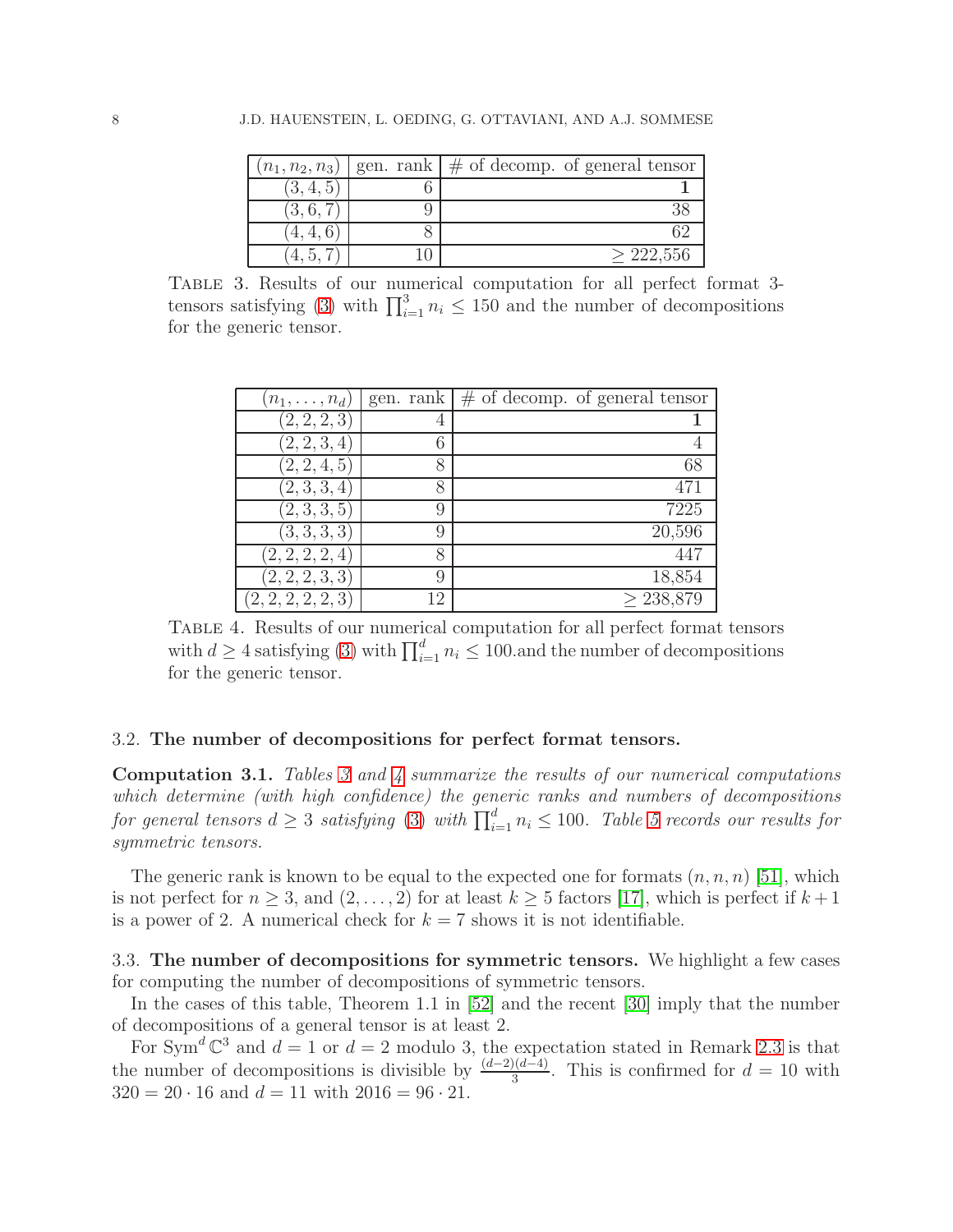| $(n_1, n_2, n_3)$ | gen. rank $\#$ of decomp. of general tensor |
|-------------------|---------------------------------------------|
|                   |                                             |
| 3.6               |                                             |
|                   |                                             |
|                   | >222.556                                    |

<span id="page-7-1"></span>Table 3. Results of our numerical computation for all perfect format 3- tensors satisfying [\(3\)](#page-3-6) with  $\prod_{i=1}^{3} n_i \leq 150$  and the number of decompositions for the generic tensor.

| $(n_1,\ldots,n_d)$ |    | gen. rank $\mid \#$ of decomp. of general tensor |
|--------------------|----|--------------------------------------------------|
| (2, 2, 2, 3)       | 4  |                                                  |
| (2, 2, 3, 4)       | 6  |                                                  |
| (2, 2, 4, 5)       | 8  | 68                                               |
| (2,3,3,4)          | 8  | 471                                              |
| (2,3,3,5)          | 9  | 7225                                             |
| (3,3,3,3)          | 9  | 20,596                                           |
| (2, 2, 2, 2, 4)    | 8  | 447                                              |
| (2, 2, 2, 3, 3)    | 9  | 18,854                                           |
| (2, 2, 2, 2, 2, 3) | 12 | > 238,879                                        |

<span id="page-7-2"></span>Table 4. Results of our numerical computation for all perfect format tensors with  $d \geq 4$  satisfying [\(3\)](#page-3-6) with  $\prod_{i=1}^{d} n_i \leq 100$  and the number of decompositions for the generic tensor.

# 3.2. The number of decompositions for perfect format tensors.

Computation 3.1. Tables [3](#page-7-1) and [4](#page-7-2) summarize the results of our numerical computations which determine (with high confidence) the generic ranks and numbers of decompositions for general tensors  $d \geq 3$  satisfying [\(3\)](#page-3-6) with  $\prod_{i=1}^d n_i \leq 100$ . Table [5](#page-8-0) records our results for symmetric tensors.

The generic rank is known to be equal to the expected one for formats  $(n, n, n)$  [\[51\]](#page-19-16), which is not perfect for  $n \geq 3$ , and  $(2, \ldots, 2)$  for at least  $k \geq 5$  factors [\[17\]](#page-18-17), which is perfect if  $k+1$ is a power of 2. A numerical check for  $k = 7$  shows it is not identifiable.

<span id="page-7-0"></span>3.3. The number of decompositions for symmetric tensors. We highlight a few cases for computing the number of decompositions of symmetric tensors.

In the cases of this table, Theorem 1.1 in [\[52\]](#page-19-12) and the recent [\[30\]](#page-18-8) imply that the number of decompositions of a general tensor is at least 2.

For Sym<sup>d</sup>  $\mathbb{C}^3$  and  $d=1$  or  $d=2$  modulo 3, the expectation stated in Remark [2.3](#page-5-2) is that the number of decompositions is divisible by  $\frac{(d-2)(d-4)}{3}$ . This is confirmed for  $d = 10$  with  $320 = 20 \cdot 16$  and  $d = 11$  with  $2016 = 96 \cdot 21$ .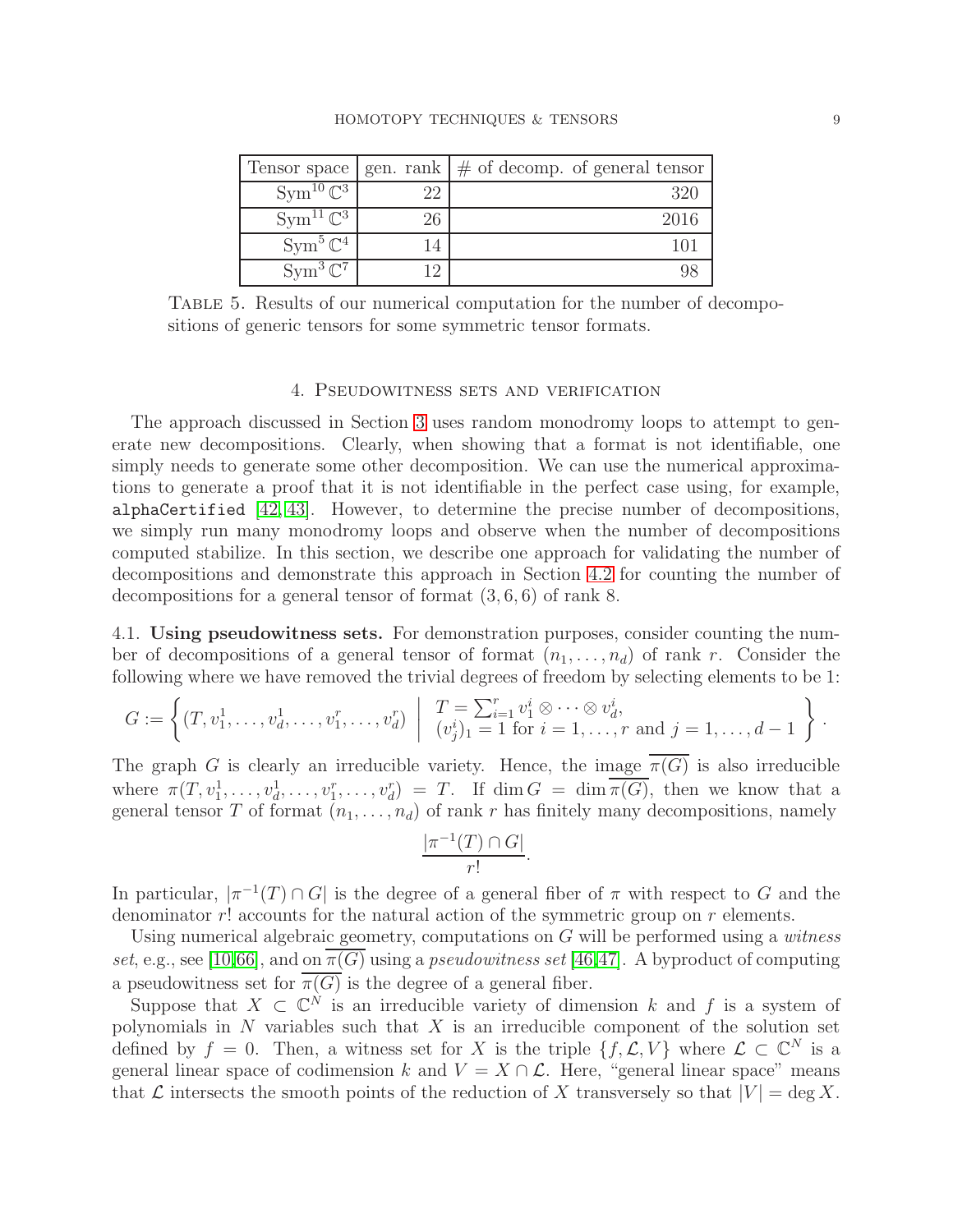### HOMOTOPY TECHNIQUES & TENSORS 9

|                         |    | Tensor space   gen. rank $  \#$ of decomp. of general tensor |
|-------------------------|----|--------------------------------------------------------------|
| $Sym^{10} \mathbb{C}^3$ |    | 320                                                          |
| $Sym^{11}\mathbb{C}^3$  | 26 | 2016                                                         |
| $Sym^5\mathbb{C}^4$     |    |                                                              |
| $Sym^3 \mathbb{C}^7$    |    |                                                              |

Table 5. Results of our numerical computation for the number of decompositions of generic tensors for some symmetric tensor formats.

### <span id="page-8-0"></span>4. Pseudowitness sets and verification

The approach discussed in Section [3](#page-5-0) uses random monodromy loops to attempt to generate new decompositions. Clearly, when showing that a format is not identifiable, one simply needs to generate some other decomposition. We can use the numerical approximations to generate a proof that it is not identifiable in the perfect case using, for example, alphaCertified [\[42,](#page-19-7) [43\]](#page-19-8). However, to determine the precise number of decompositions, we simply run many monodromy loops and observe when the number of decompositions computed stabilize. In this section, we describe one approach for validating the number of decompositions and demonstrate this approach in Section [4.2](#page-9-0) for counting the number of decompositions for a general tensor of format (3, 6, 6) of rank 8.

<span id="page-8-1"></span>4.1. Using pseudowitness sets. For demonstration purposes, consider counting the number of decompositions of a general tensor of format  $(n_1, \ldots, n_d)$  of rank r. Consider the following where we have removed the trivial degrees of freedom by selecting elements to be 1:

$$
G := \left\{ (T, v_1^1, \dots, v_d^1, \dots, v_1^r, \dots, v_d^r) \middle| \begin{array}{c} T = \sum_{i=1}^r v_1^i \otimes \dots \otimes v_d^i, \\ (v_j^i)_1 = 1 \text{ for } i = 1, \dots, r \text{ and } j = 1, \dots, d - 1 \end{array} \right\}.
$$

The graph G is clearly an irreducible variety. Hence, the image  $\overline{\pi(G)}$  is also irreducible where  $\pi(T, v_1^1, \ldots, v_d^1, \ldots, v_1^r, \ldots, v_d^r) = T$ . If  $\dim G = \dim \overline{\pi(G)}$ , then we know that a general tensor T of format  $(n_1, \ldots, n_d)$  of rank r has finitely many decompositions, namely

$$
\frac{|\pi^{-1}(T) \cap G|}{r!}.
$$

In particular,  $|\pi^{-1}(T) \cap G|$  is the degree of a general fiber of  $\pi$  with respect to G and the denominator  $r!$  accounts for the natural action of the symmetric group on  $r$  elements.

Using numerical algebraic geometry, computations on  $G$  will be performed using a *witness* set, e.g., see [\[10](#page-17-0)[,66\]](#page-20-2), and on  $\pi(G)$  using a *pseudowitness set* [\[46,](#page-19-17)[47\]](#page-19-18). A byproduct of computing a pseudowitness set for  $\overline{\pi(G)}$  is the degree of a general fiber.

Suppose that  $X \subset \mathbb{C}^N$  is an irreducible variety of dimension k and f is a system of polynomials in  $N$  variables such that  $X$  is an irreducible component of the solution set defined by  $f = 0$ . Then, a witness set for X is the triple  $\{f, \mathcal{L}, V\}$  where  $\mathcal{L} \subset \mathbb{C}^N$  is a general linear space of codimension k and  $V = X \cap \mathcal{L}$ . Here, "general linear space" means that  $\mathcal L$  intersects the smooth points of the reduction of X transversely so that  $|V| = \deg X$ .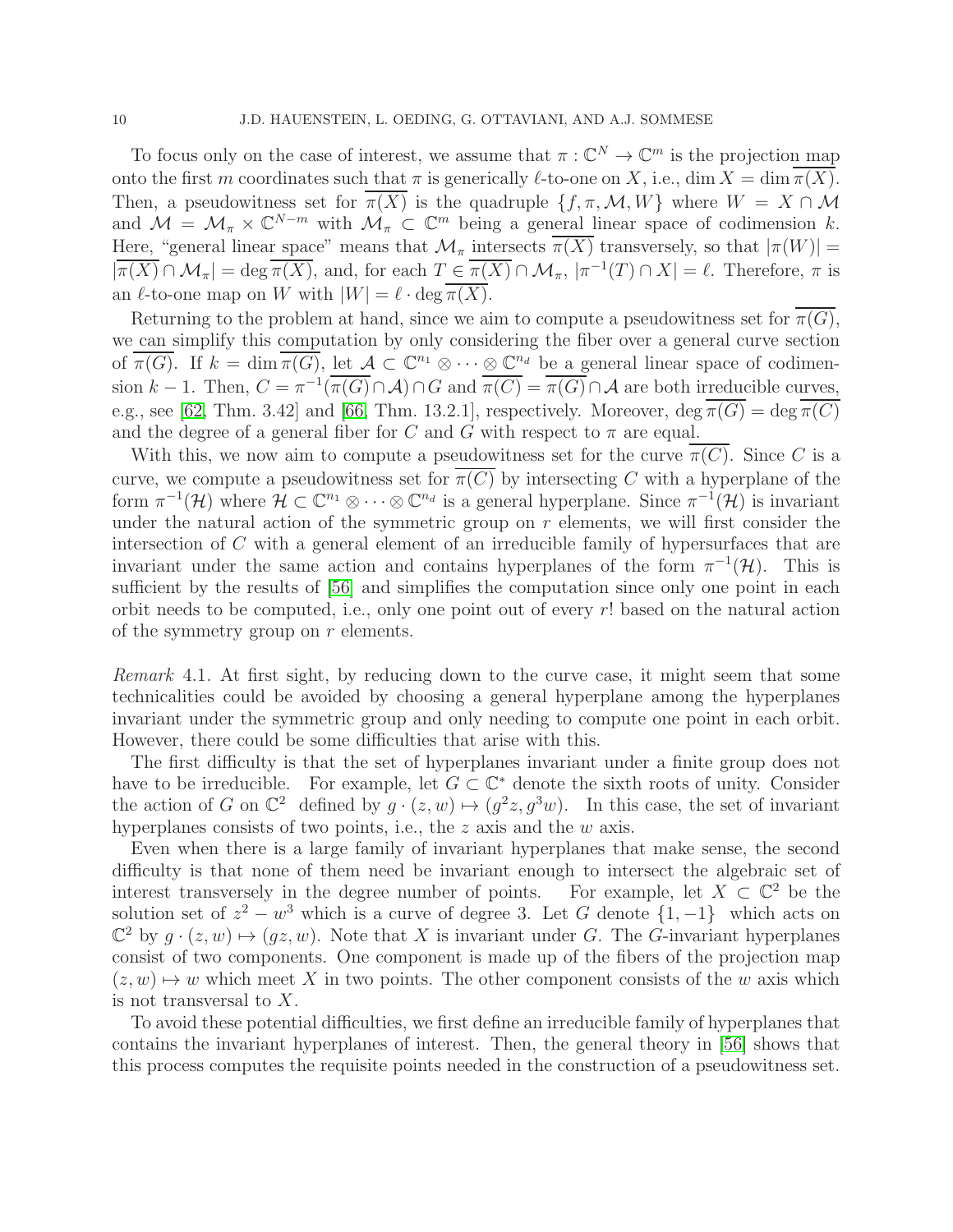To focus only on the case of interest, we assume that  $\pi : \mathbb{C}^N \to \mathbb{C}^m$  is the projection map onto the first m coordinates such that  $\pi$  is generically  $\ell$ -to-one on X, i.e., dim  $X = \dim \overline{\pi(X)}$ . Then, a pseudowitness set for  $\overline{\pi(X)}$  is the quadruple  $\{f, \pi, \mathcal{M}, W\}$  where  $W = X \cap \mathcal{M}$ and  $\mathcal{M} = \mathcal{M}_{\pi} \times \mathbb{C}^{N-m}$  with  $\mathcal{M}_{\pi} \subset \mathbb{C}^m$  being a general linear space of codimension k. Here, "general linear space" means that  $\mathcal{M}_{\pi}$  intersects  $\overline{\pi(X)}$  transversely, so that  $|\pi(W)| =$  $|\overline{\pi(X)} \cap \mathcal{M}_{\pi}| = \deg \overline{\pi(X)}$ , and, for each  $T \in \overline{\pi(X)} \cap \mathcal{M}_{\pi}$ ,  $|\pi^{-1}(T) \cap X| = \ell$ . Therefore,  $\pi$  is an  $\ell$ -to-one map on W with  $|W| = \ell \cdot \deg \pi(X)$ .

Returning to the problem at hand, since we aim to compute a pseudowitness set for  $\overline{\pi(G)}$ , we can simplify this computation by only considering the fiber over a general curve section of  $\overline{\pi(G)}$ . If  $k = \dim \overline{\pi(G)}$ , let  $\mathcal{A} \subset \mathbb{C}^{n_1} \otimes \cdots \otimes \mathbb{C}^{n_d}$  be a general linear space of codimension k – 1. Then,  $C = \pi^{-1}(\overline{\pi(G)} \cap \mathcal{A}) \cap G$  and  $\overline{\pi(C)} = \overline{\pi(G)} \cap \mathcal{A}$  are both irreducible curves, e.g., see [\[62,](#page-19-19) Thm. 3.42] and [\[66,](#page-20-2) Thm. 13.2.1], respectively. Moreover,  $\deg \overline{\pi(G)} = \deg \overline{\pi(C)}$ and the degree of a general fiber for C and G with respect to  $\pi$  are equal.

With this, we now aim to compute a pseudowitness set for the curve  $\pi(C)$ . Since C is a curve, we compute a pseudowitness set for  $\pi(C)$  by intersecting C with a hyperplane of the form  $\pi^{-1}(\mathcal{H})$  where  $\mathcal{H} \subset \mathbb{C}^{n_1} \otimes \cdots \otimes \mathbb{C}^{n_d}$  is a general hyperplane. Since  $\pi^{-1}(\mathcal{H})$  is invariant under the natural action of the symmetric group on  $r$  elements, we will first consider the intersection of C with a general element of an irreducible family of hypersurfaces that are invariant under the same action and contains hyperplanes of the form  $\pi^{-1}(\mathcal{H})$ . This is sufficient by the results of  $[56]$  and simplifies the computation since only one point in each orbit needs to be computed, i.e., only one point out of every r! based on the natural action of the symmetry group on r elements.

Remark 4.1. At first sight, by reducing down to the curve case, it might seem that some technicalities could be avoided by choosing a general hyperplane among the hyperplanes invariant under the symmetric group and only needing to compute one point in each orbit. However, there could be some difficulties that arise with this.

The first difficulty is that the set of hyperplanes invariant under a finite group does not have to be irreducible. For example, let  $G \subset \mathbb{C}^*$  denote the sixth roots of unity. Consider the action of G on  $\mathbb{C}^2$  defined by  $g \cdot (z, w) \mapsto (g^2 z, g^3 w)$ . In this case, the set of invariant hyperplanes consists of two points, i.e., the z axis and the w axis.

Even when there is a large family of invariant hyperplanes that make sense, the second difficulty is that none of them need be invariant enough to intersect the algebraic set of interest transversely in the degree number of points. For example, let  $X \subset \mathbb{C}^2$  be the solution set of  $z^2 - w^3$  which is a curve of degree 3. Let G denote  $\{1, -1\}$  which acts on  $\mathbb{C}^2$  by  $g \cdot (z, w) \mapsto (gz, w)$ . Note that X is invariant under G. The G-invariant hyperplanes consist of two components. One component is made up of the fibers of the projection map  $(z, w) \mapsto w$  which meet X in two points. The other component consists of the w axis which is not transversal to X.

<span id="page-9-0"></span>To avoid these potential difficulties, we first define an irreducible family of hyperplanes that contains the invariant hyperplanes of interest. Then, the general theory in [\[56\]](#page-19-20) shows that this process computes the requisite points needed in the construction of a pseudowitness set.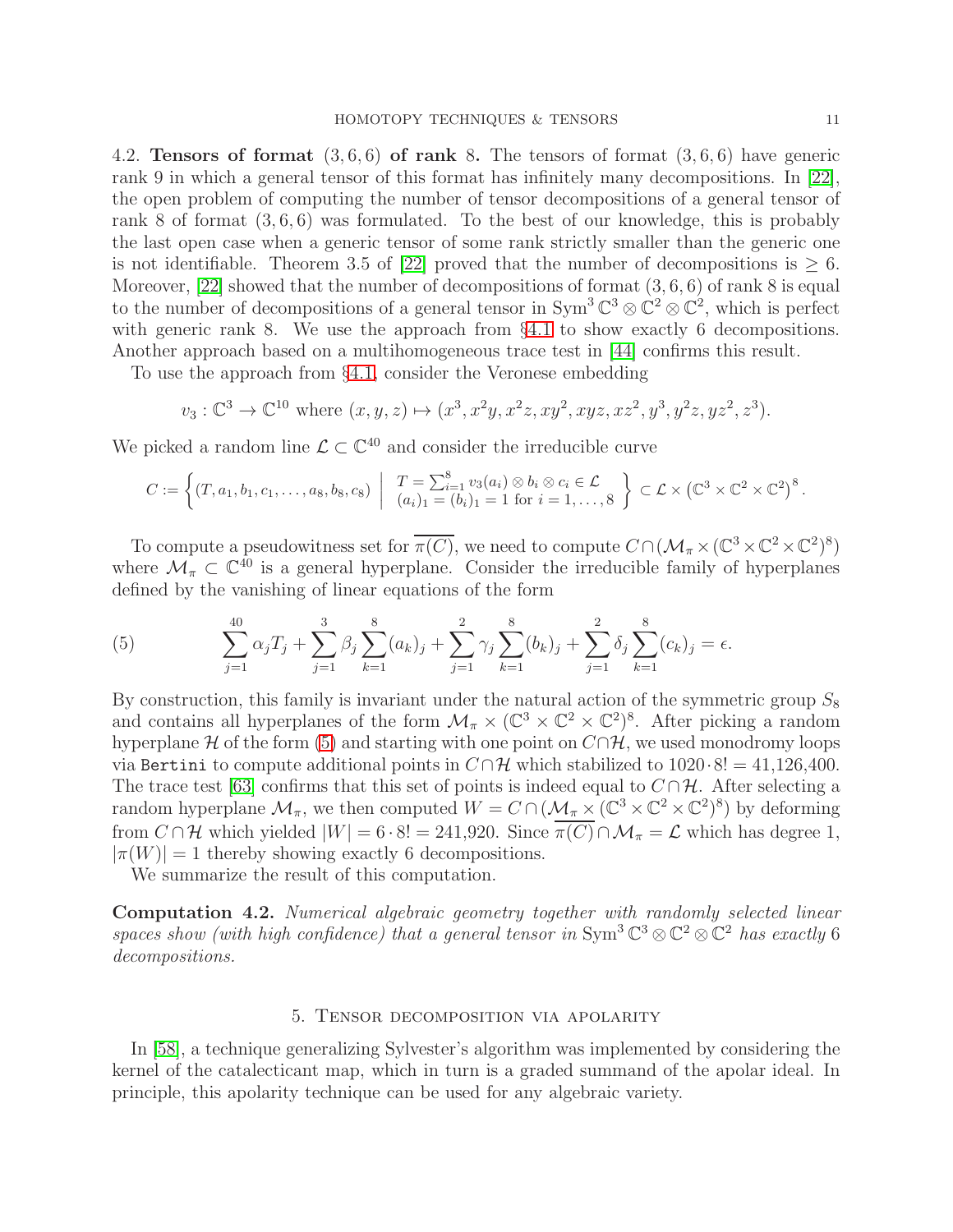4.2. **Tensors of format**  $(3, 6, 6)$  **of rank 8.** The tensors of format  $(3, 6, 6)$  have generic rank 9 in which a general tensor of this format has infinitely many decompositions. In [\[22\]](#page-18-18), the open problem of computing the number of tensor decompositions of a general tensor of rank 8 of format  $(3, 6, 6)$  was formulated. To the best of our knowledge, this is probably the last open case when a generic tensor of some rank strictly smaller than the generic one is not identifiable. Theorem 3.5 of [\[22\]](#page-18-18) proved that the number of decompositions is  $\geq 6$ . Moreover,  $[22]$  showed that the number of decompositions of format  $(3, 6, 6)$  of rank 8 is equal to the number of decompositions of a general tensor in  $Sym^3 \mathbb{C}^3 \otimes \mathbb{C}^2 \otimes \mathbb{C}^2$ , which is perfect with generic rank 8. We use the approach from §[4.1](#page-8-1) to show exactly 6 decompositions. Another approach based on a multihomogeneous trace test in [\[44\]](#page-19-21) confirms this result.

To use the approach from §[4.1,](#page-8-1) consider the Veronese embedding

$$
v_3: \mathbb{C}^3 \to \mathbb{C}^{10}
$$
 where  $(x, y, z) \mapsto (x^3, x^2y, x^2z, xy^2, xyz, xz^2, y^3, y^2z, yz^2, z^3)$ .

We picked a random line  $\mathcal{L} \subset \mathbb{C}^{40}$  and consider the irreducible curve

$$
C := \left\{ (T, a_1, b_1, c_1, \ldots, a_8, b_8, c_8) \mid T = \sum_{i=1}^8 v_3(a_i) \otimes b_i \otimes c_i \in \mathcal{L} \setminus \mathcal{L} \times (\mathbb{C}^3 \times \mathbb{C}^2 \times \mathbb{C}^2)^8 \right\}.
$$

To compute a pseudowitness set for  $\overline{\pi(C)}$ , we need to compute  $C \cap (\mathcal{M}_{\pi} \times (\mathbb{C}^3 \times \mathbb{C}^2 \times \mathbb{C}^2)^8)$ where  $\mathcal{M}_{\pi} \subset \mathbb{C}^{40}$  is a general hyperplane. Consider the irreducible family of hyperplanes defined by the vanishing of linear equations of the form

<span id="page-10-1"></span>(5) 
$$
\sum_{j=1}^{40} \alpha_j T_j + \sum_{j=1}^3 \beta_j \sum_{k=1}^8 (a_k)_j + \sum_{j=1}^2 \gamma_j \sum_{k=1}^8 (b_k)_j + \sum_{j=1}^2 \delta_j \sum_{k=1}^8 (c_k)_j = \epsilon.
$$

By construction, this family is invariant under the natural action of the symmetric group  $S_8$ and contains all hyperplanes of the form  $\mathcal{M}_{\pi} \times (\mathbb{C}^3 \times \mathbb{C}^2 \times \mathbb{C}^2)^8$ . After picking a random hyperplane H of the form [\(5\)](#page-10-1) and starting with one point on  $C \cap H$ , we used monodromy loops via Bertini to compute additional points in  $C \cap H$  which stabilized to 1020 $\cdot 8! = 41,126,400$ . The trace test [\[63\]](#page-20-7) confirms that this set of points is indeed equal to  $C \cap \mathcal{H}$ . After selecting a random hyperplane  $\mathcal{M}_\pi$ , we then computed  $W = C \cap (\mathcal{M}_\pi \times (\mathbb{C}^3 \times \mathbb{C}^2 \times \mathbb{C}^2)^8)$  by deforming from  $C \cap \mathcal{H}$  which yielded  $|W| = 6 \cdot 8! = 241,920$ . Since  $\overline{\pi(C)} \cap \mathcal{M}_{\pi} = \mathcal{L}$  which has degree 1,  $|\pi(W)| = 1$  thereby showing exactly 6 decompositions.

We summarize the result of this computation.

Computation 4.2. Numerical algebraic geometry together with randomly selected linear spaces show (with high confidence) that a general tensor in  $\text{Sym}^3 \mathbb{C}^3 \otimes \mathbb{C}^2 \otimes \mathbb{C}^2$  has exactly 6 decompositions.

### 5. Tensor decomposition via apolarity

<span id="page-10-0"></span>In [\[58\]](#page-19-10), a technique generalizing Sylvester's algorithm was implemented by considering the kernel of the catalecticant map, which in turn is a graded summand of the apolar ideal. In principle, this apolarity technique can be used for any algebraic variety.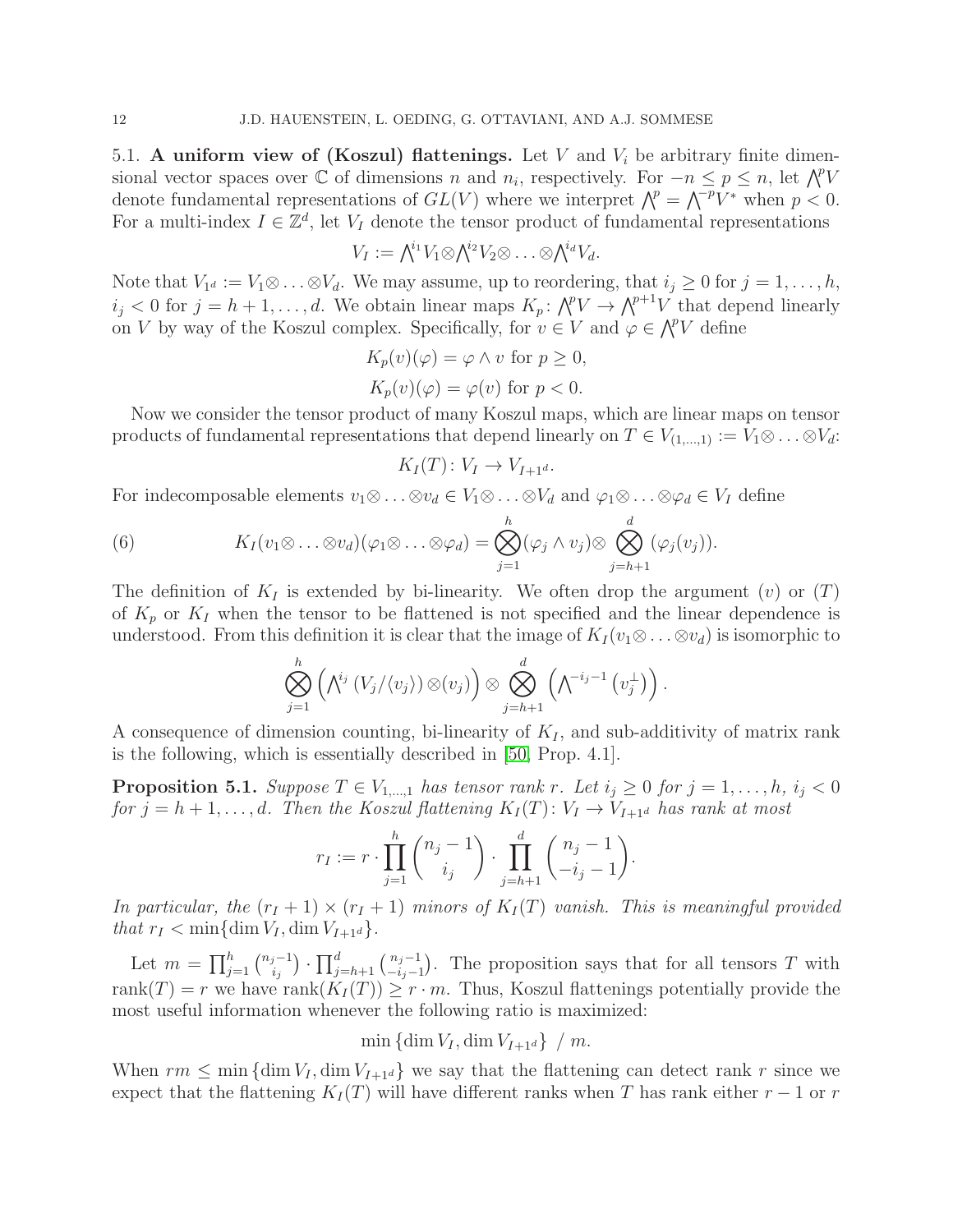5.1. A uniform view of (Koszul) flattenings. Let V and  $V_i$  be arbitrary finite dimensional vector spaces over  $\mathbb C$  of dimensions n and  $n_i$ , respectively. For  $-n \leq p \leq n$ , let  $\bigwedge^p V$ denote fundamental representations of  $GL(V)$  where we interpret  $\bigwedge^p = \bigwedge^{p} V^*$  when  $p < 0$ . For a multi-index  $I \in \mathbb{Z}^d$ , let  $V_I$  denote the tensor product of fundamental representations

$$
V_I := \bigwedge^{i_1} V_1 \otimes \bigwedge^{i_2} V_2 \otimes \ldots \otimes \bigwedge^{i_d} V_d.
$$

Note that  $V_{1^d} := V_1 \otimes \ldots \otimes V_d$ . We may assume, up to reordering, that  $i_j \geq 0$  for  $j = 1, \ldots, h$ ,  $i_j < 0$  for  $j = h+1, \ldots, d$ . We obtain linear maps  $K_p: \bigwedge^p V \to \bigwedge^{p+1} V$  that depend linearly on V by way of the Koszul complex. Specifically, for  $v \in V$  and  $\varphi \in \bigwedge^p V$  define

$$
K_p(v)(\varphi) = \varphi \land v \text{ for } p \ge 0,
$$
  

$$
K_p(v)(\varphi) = \varphi(v) \text{ for } p < 0.
$$

Now we consider the tensor product of many Koszul maps, which are linear maps on tensor products of fundamental representations that depend linearly on  $T \in V_{(1,\ldots,1)} := V_1 \otimes \ldots \otimes V_d$ :

$$
K_I(T) \colon V_I \to V_{I+1^d}.
$$

For indecomposable elements  $v_1 \otimes \ldots \otimes v_d \in V_1 \otimes \ldots \otimes V_d$  and  $\varphi_1 \otimes \ldots \otimes \varphi_d \in V_I$  define

<span id="page-11-0"></span>(6) 
$$
K_I(v_1 \otimes \ldots \otimes v_d)(\varphi_1 \otimes \ldots \otimes \varphi_d) = \bigotimes_{j=1}^h (\varphi_j \wedge v_j) \otimes \bigotimes_{j=h+1}^d (\varphi_j(v_j)).
$$

The definition of  $K_I$  is extended by bi-linearity. We often drop the argument (v) or  $(T)$ of  $K_p$  or  $K_I$  when the tensor to be flattened is not specified and the linear dependence is understood. From this definition it is clear that the image of  $K_I(v_1 \otimes \ldots \otimes v_d)$  is isomorphic to

$$
\bigotimes_{j=1}^h \left( \bigwedge^{i_j} \left( V_j / \langle v_j \rangle \right) \otimes \left( v_j \right) \right) \otimes \bigotimes_{j=h+1}^d \left( \bigwedge^{-i_j-1} \left( v_j^{\perp} \right) \right).
$$

A consequence of dimension counting, bi-linearity of  $K_I$ , and sub-additivity of matrix rank is the following, which is essentially described in [\[50,](#page-19-22) Prop. 4.1].

**Proposition 5.1.** Suppose  $T \in V_{1,\dots,1}$  has tensor rank r. Let  $i_j \geq 0$  for  $j = 1,\dots, h$ ,  $i_j < 0$ for  $j = h + 1, \ldots, d$ . Then the Koszul flattening  $K_I(T)$ :  $V_I \rightarrow V_{I+1^d}$  has rank at most

$$
r_I := r \cdot \prod_{j=1}^h {n_j - 1 \choose i_j} \cdot \prod_{j=h+1}^d {n_j - 1 \choose -i_j - 1}.
$$

In particular, the  $(r_I + 1) \times (r_I + 1)$  minors of  $K_I(T)$  vanish. This is meaningful provided that  $r_I < \min\{\dim V_I, \dim V_{I+1^d}\}.$ 

Let  $m = \prod_{j=1}^{h} {n_j - 1 \choose i_j}$  $\prod_{i_j}^{j-1}$ )  $\cdot \prod_{j=h+1}^{d} \binom{n_j-1}{-i_j-1}$  $\frac{n_j-1}{-i_j-1}$ . The proposition says that for all tensors T with rank $(T) = r$  we have rank $(K_I(T)) \geq r \cdot m$ . Thus, Koszul flattenings potentially provide the most useful information whenever the following ratio is maximized:

 $\min \{\dim V_I, \dim V_{I+1^d}\}\neq m$ .

When  $rm \leq min$  {dim  $V_I$ , dim  $V_{I+1d}$ } we say that the flattening can detect rank r since we expect that the flattening  $K_I(T)$  will have different ranks when T has rank either  $r-1$  or r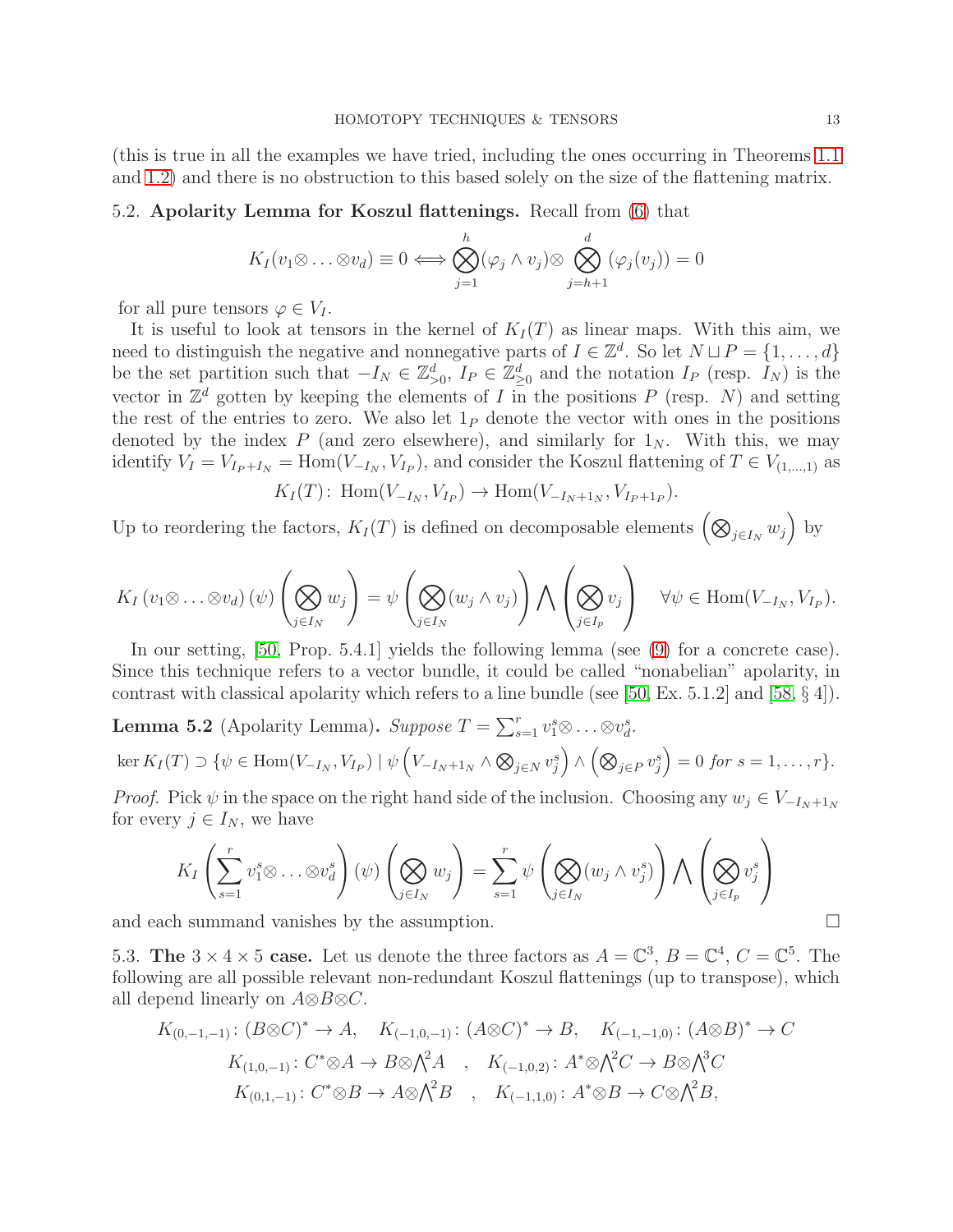(this is true in all the examples we have tried, including the ones occurring in Theorems [1.1](#page-2-1) and [1.2\)](#page-2-2) and there is no obstruction to this based solely on the size of the flattening matrix.

# 5.2. Apolarity Lemma for Koszul flattenings. Recall from [\(6\)](#page-11-0) that

$$
K_I(v_1 \otimes \ldots \otimes v_d) \equiv 0 \Longleftrightarrow \bigotimes_{j=1}^h (\varphi_j \wedge v_j) \otimes \bigotimes_{j=h+1}^d (\varphi_j(v_j)) = 0
$$

for all pure tensors  $\varphi \in V_I$ .

It is useful to look at tensors in the kernel of  $K_I(T)$  as linear maps. With this aim, we need to distinguish the negative and nonnegative parts of  $I \in \mathbb{Z}^d$ . So let  $N \sqcup P = \{1, \ldots, d\}$ be the set partition such that  $-I_N \in \mathbb{Z}_{\geq 0}^d$ ,  $I_P \in \mathbb{Z}_{\geq 0}^d$  and the notation  $I_P$  (resp.  $I_N$ ) is the vector in  $\mathbb{Z}^d$  gotten by keeping the elements of I in the positions P (resp. N) and setting the rest of the entries to zero. We also let  $1<sub>P</sub>$  denote the vector with ones in the positions denoted by the index P (and zero elsewhere), and similarly for  $1_N$ . With this, we may identify  $V_I = V_{I_P + I_N} = \text{Hom}(V_{-I_N}, V_{I_P})$ , and consider the Koszul flattening of  $T \in V_{(1,...,1)}$  as

 $K_I(T)$ : Hom $(V_{-I_N}, V_{I_P}) \to \text{Hom}(V_{-I_N+1_N}, V_{I_P+1_P}).$ 

Up to reordering the factors,  $K_I(T)$  is defined on decomposable elements  $(\bigotimes_{j\in I_N} w_j)$  by

$$
K_I(v_1 \otimes \ldots \otimes v_d) (\psi) \left(\bigotimes_{j \in I_N} w_j\right) = \psi \left(\bigotimes_{j \in I_N} (w_j \wedge v_j)\right) \bigwedge \left(\bigotimes_{j \in I_p} v_j\right) \quad \forall \psi \in \text{Hom}(V_{-I_N}, V_{I_P}).
$$

In our setting, [\[50,](#page-19-22) Prop. 5.4.1] yields the following lemma (see [\(9\)](#page-14-0) for a concrete case). Since this technique refers to a vector bundle, it could be called "nonabelian" apolarity, in contrast with classical apolarity which refers to a line bundle (see [\[50,](#page-19-22) Ex. 5.1.2] and [\[58,](#page-19-10)  $\S$ 4]).

<span id="page-12-0"></span>**Lemma 5.2** (Apolarity Lemma). Suppose  $T = \sum_{s=1}^{r} v_1^s \otimes \ldots \otimes v_d^s$ .

$$
\ker K_I(T) \supset \{ \psi \in \text{Hom}(V_{-I_N}, V_{I_P}) \mid \psi \left( V_{-I_N+1_N} \wedge \bigotimes_{j \in N} v_j^s \right) \wedge \left( \bigotimes_{j \in P} v_j^s \right) = 0 \text{ for } s = 1, \dots, r \}.
$$

*Proof.* Pick  $\psi$  in the space on the right hand side of the inclusion. Choosing any  $w_j \in V_{-I_N+1_N}$ for every  $j \in I_N$ , we have

$$
K_I\left(\sum_{s=1}^r v_1^s \otimes \ldots \otimes v_d^s\right)(\psi)\left(\bigotimes_{j\in I_N} w_j\right) = \sum_{s=1}^r \psi\left(\bigotimes_{j\in I_N} (w_j \wedge v_j^s)\right) \bigwedge \left(\bigotimes_{j\in I_p} v_j^s\right)
$$

and each summand vanishes by the assumption.  $\Box$ 

5.3. The  $3 \times 4 \times 5$  case. Let us denote the three factors as  $A = \mathbb{C}^3$ ,  $B = \mathbb{C}^4$ ,  $C = \mathbb{C}^5$ . The following are all possible relevant non-redundant Koszul flattenings (up to transpose), which all depend linearly on  $A \otimes B \otimes C$ .

$$
K_{(0,-1,-1)}: (B \otimes C)^* \to A, \quad K_{(-1,0,-1)}: (A \otimes C)^* \to B, \quad K_{(-1,-1,0)}: (A \otimes B)^* \to C
$$
  

$$
K_{(1,0,-1)}: C^* \otimes A \to B \otimes \bigwedge^2 A \quad , \quad K_{(-1,0,2)}: A^* \otimes \bigwedge^2 C \to B \otimes \bigwedge^3 C
$$
  

$$
K_{(0,1,-1)}: C^* \otimes B \to A \otimes \bigwedge^2 B \quad , \quad K_{(-1,1,0)}: A^* \otimes B \to C \otimes \bigwedge^2 B,
$$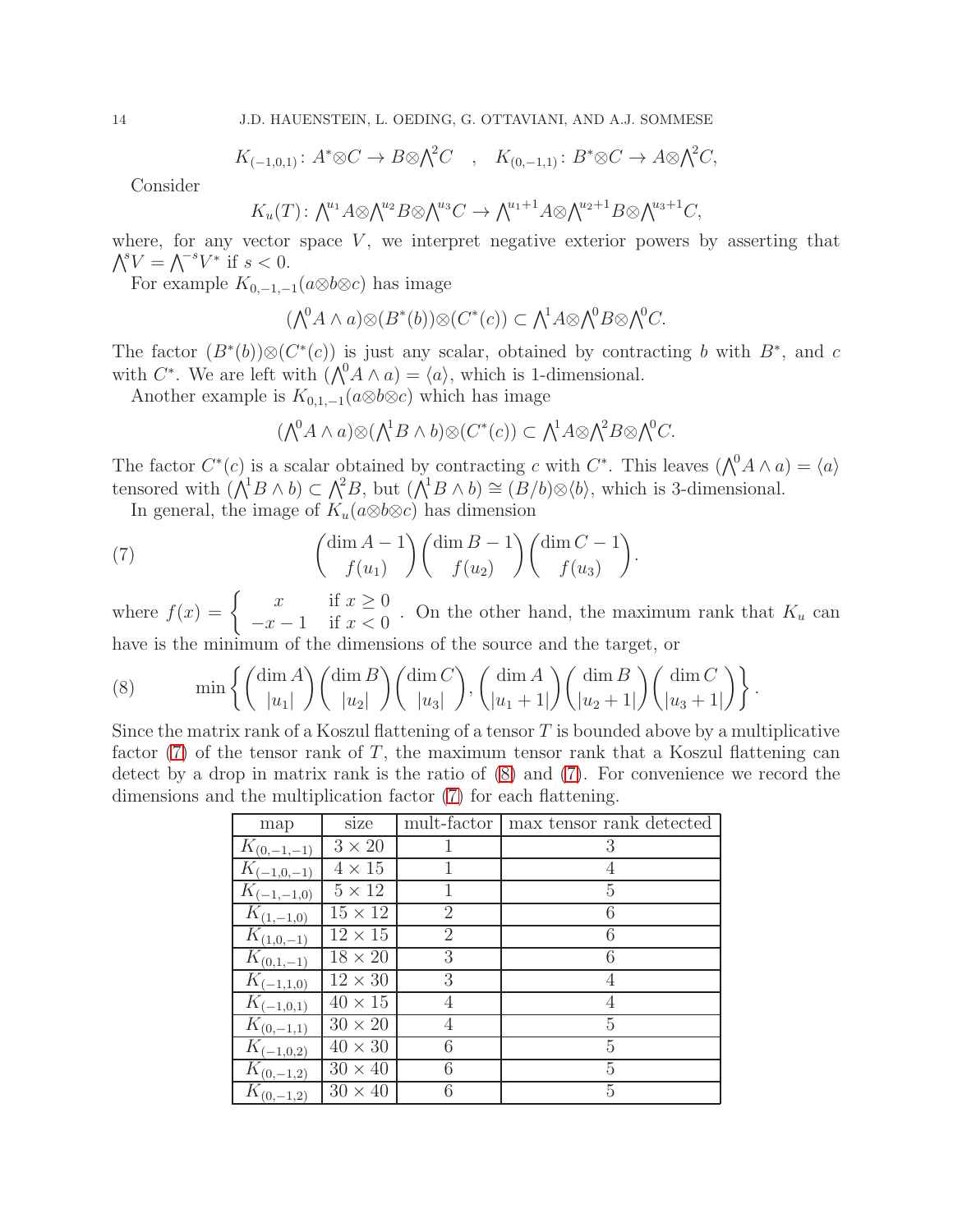$$
K_{(-1,0,1)}
$$
:  $A^* \otimes C \to B \otimes \Lambda^2 C$ ,  $K_{(0,-1,1)}$ :  $B^* \otimes C \to A \otimes \Lambda^2 C$ ,

Consider

$$
K_u(T) \colon \bigwedge^{u_1} A \otimes \bigwedge^{u_2} B \otimes \bigwedge^{u_3} C \to \bigwedge^{u_1+1} A \otimes \bigwedge^{u_2+1} B \otimes \bigwedge^{u_3+1} C,
$$

where, for any vector space  $V$ , we interpret negative exterior powers by asserting that  $\bigwedge^s V = \bigwedge^{-s} V^*$  if  $s < 0$ .

For example  $K_{0,-1,-1}(a\otimes b\otimes c)$  has image

$$
(\bigwedge^0 A \wedge a) \otimes (B^*(b)) \otimes (C^*(c)) \subset \bigwedge^1 A \otimes \bigwedge^0 B \otimes \bigwedge^0 C.
$$

The factor  $(B^*(b))\otimes (C^*(c))$  is just any scalar, obtained by contracting b with  $B^*$ , and c with  $C^*$ . We are left with  $(\bigwedge^0 A \wedge a) = \langle a \rangle$ , which is 1-dimensional.

Another example is  $K_{0,1,-1}(a\otimes b\otimes c)$  which has image

<span id="page-13-0"></span>
$$
(\bigwedge^0 A \wedge a) \otimes (\bigwedge^1 B \wedge b) \otimes (C^*(c)) \subset \bigwedge^1 A \otimes \bigwedge^2 B \otimes \bigwedge^0 C.
$$

The factor  $C^*(c)$  is a scalar obtained by contracting c with  $C^*$ . This leaves  $(\bigwedge^0 A \wedge a) = \langle a \rangle$ tensored with  $(\bigwedge^1 B \wedge b) \subset \bigwedge^2 B$ , but  $(\bigwedge^1 B \wedge b) \cong (B/b) \otimes \langle b \rangle$ , which is 3-dimensional.

In general, the image of  $K_u(a\otimes b\otimes c)$  has dimension

(7) 
$$
\begin{pmatrix} \dim A - 1 \\ f(u_1) \end{pmatrix} \begin{pmatrix} \dim B - 1 \\ f(u_2) \end{pmatrix} \begin{pmatrix} \dim C - 1 \\ f(u_3) \end{pmatrix}.
$$

where  $f(x) = \begin{cases} x & \text{if } x \geq 0 \\ x & 1 & \text{if } x < 0 \end{cases}$  $\frac{x}{-x-1}$  if  $x < 0$ . On the other hand, the maximum rank that  $K_u$  can have is the minimum of the dimensions of the source and the target, or

<span id="page-13-1"></span>(8) 
$$
\min\left\{ \binom{\dim A}{|u_1|} \binom{\dim B}{|u_2|} \binom{\dim C}{|u_3|}, \binom{\dim A}{|u_1+1|} \binom{\dim B}{|u_2+1|} \binom{\dim C}{|u_3+1|} \right\}.
$$

Since the matrix rank of a Koszul flattening of a tensor  $T$  is bounded above by a multiplicative factor  $(7)$  of the tensor rank of T, the maximum tensor rank that a Koszul flattening can detect by a drop in matrix rank is the ratio of [\(8\)](#page-13-1) and [\(7\)](#page-13-0). For convenience we record the dimensions and the multiplication factor [\(7\)](#page-13-0) for each flattening.

| map             | size           | mult-factor    | max tensor rank detected |
|-----------------|----------------|----------------|--------------------------|
| $K_{(0,-1,-1)}$ | $3\times20$    |                | 3                        |
| $K_{(-1,0,-1)}$ | $4\times15$    |                |                          |
| $K_{(-1,-1,0)}$ | $5\times12$    |                | 5                        |
| $K_{(1,-1,0)}$  | $15 \times 12$ | $\overline{2}$ | 6                        |
| $K_{(1,0,-1)}$  | $12 \times 15$ | $\overline{2}$ | 6                        |
| $K_{(0,1,-1)}$  | $18 \times 20$ | 3              | 6                        |
| $K_{(-1,1,0)}$  | $12 \times 30$ | 3              | 4                        |
| $K_{(-1,0,1)}$  | $40 \times 15$ |                |                          |
| $K_{(0,-1,1)}$  | $30 \times 20$ |                | 5                        |
| $K_{(-1,0,2)}$  | $40 \times 30$ | 6              | 5                        |
| $K_{(0,-1,2)}$  | $30 \times 40$ | 6              | 5                        |
| $K_{(0,-1,2)}$  | $30 \times 40$ | 6              | $\overline{5}$           |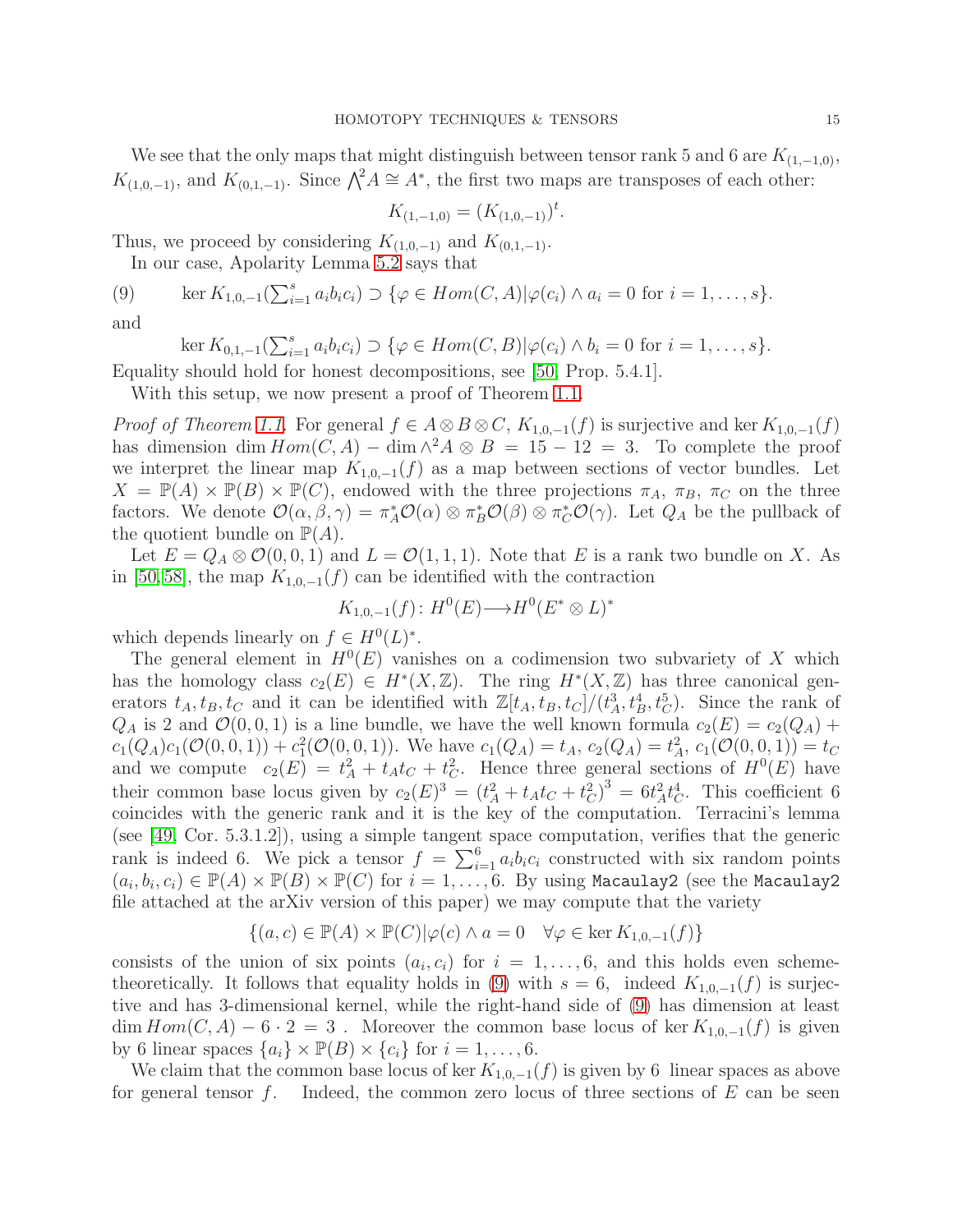We see that the only maps that might distinguish between tensor rank 5 and 6 are  $K_{(1,-1,0)}$ ,  $K_{(1,0,-1)}$ , and  $K_{(0,1,-1)}$ . Since  $\bigwedge^2 A \cong A^*$ , the first two maps are transposes of each other:

$$
K_{(1,-1,0)} = (K_{(1,0,-1)})^t.
$$

Thus, we proceed by considering  $K_{(1,0,-1)}$  and  $K_{(0,1,-1)}$ .

In our case, Apolarity Lemma [5.2](#page-12-0) says that

(9) 
$$
\ker K_{1,0,-1}(\sum_{i=1}^s a_ib_ic_i) \supset \{\varphi \in Hom(C,A)| \varphi(c_i) \wedge a_i = 0 \text{ for } i=1,\ldots,s\}.
$$

and

<span id="page-14-0"></span>ker 
$$
K_{0,1,-1}(\sum_{i=1}^{s} a_i b_i c_i) \supset \{ \varphi \in Hom(C, B) | \varphi(c_i) \wedge b_i = 0 \text{ for } i = 1,\ldots,s \}.
$$

Equality should hold for honest decompositions, see [\[50,](#page-19-22) Prop. 5.4.1].

With this setup, we now present a proof of Theorem [1.1.](#page-2-1)

*Proof of Theorem [1.1.](#page-2-1)* For general  $f \in A \otimes B \otimes C$ ,  $K_{1,0,-1}(f)$  is surjective and ker  $K_{1,0,-1}(f)$ has dimension dim  $Hom(C, A) - \dim \wedge^2 A \otimes B = 15 - 12 = 3$ . To complete the proof we interpret the linear map  $K_{1,0,-1}(f)$  as a map between sections of vector bundles. Let  $X = \mathbb{P}(A) \times \mathbb{P}(B) \times \mathbb{P}(C)$ , endowed with the three projections  $\pi_A$ ,  $\pi_B$ ,  $\pi_C$  on the three factors. We denote  $\mathcal{O}(\alpha,\beta,\gamma) = \pi_A^*\mathcal{O}(\alpha) \otimes \pi_B^*\mathcal{O}(\beta) \otimes \pi_C^*\mathcal{O}(\gamma)$ . Let  $Q_A$  be the pullback of the quotient bundle on  $\mathbb{P}(A)$ .

Let  $E = Q_A \otimes \mathcal{O}(0, 0, 1)$  and  $L = \mathcal{O}(1, 1, 1)$ . Note that E is a rank two bundle on X. As in [\[50,](#page-19-22) [58\]](#page-19-10), the map  $K_{1,0,-1}(f)$  can be identified with the contraction

$$
K_{1,0,-1}(f): H^0(E) \longrightarrow H^0(E^* \otimes L)^*
$$

which depends linearly on  $f \in H^0(L)^*$ .

The general element in  $H^0(E)$  vanishes on a codimension two subvariety of X which has the homology class  $c_2(E) \in H^*(X,\mathbb{Z})$ . The ring  $H^*(X,\mathbb{Z})$  has three canonical generators  $t_A, t_B, t_C$  and it can be identified with  $\mathbb{Z}[t_A, t_B, t_C]/(t_A^3, t_B^4, t_C^5)$ . Since the rank of  $Q_A$  is 2 and  $\mathcal{O}(0, 0, 1)$  is a line bundle, we have the well known formula  $c_2(E) = c_2(Q_A) +$  $c_1(Q_A)c_1(\mathcal{O}(0,0,1)) + c_1^2(\mathcal{O}(0,0,1))$ . We have  $c_1(Q_A) = t_A$ ,  $c_2(Q_A) = t_A^2$ ,  $c_1(\mathcal{O}(0,0,1)) = t_C$ and we compute  $c_2(E) = t_A^2 + t_A t_C + t_C^2$ . Hence three general sections of  $H^0(E)$  have their common base locus given by  $c_2(E)^3 = (t_A^2 + t_A t_C + t_C^2)^3 = 6t_A^2 t_C^4$ . This coefficient 6 coincides with the generic rank and it is the key of the computation. Terracini's lemma (see [\[49,](#page-19-0) Cor. 5.3.1.2]), using a simple tangent space computation, verifies that the generic rank is indeed 6. We pick a tensor  $f = \sum_{i=1}^{6} a_i b_i c_i$  constructed with six random points  $(a_i, b_i, c_i) \in \mathbb{P}(A) \times \mathbb{P}(B) \times \mathbb{P}(C)$  for  $i = 1, \ldots, 6$ . By using Macaulay2 (see the Macaulay2 file attached at the arXiv version of this paper) we may compute that the variety

$$
\{(a,c) \in \mathbb{P}(A) \times \mathbb{P}(C) | \varphi(c) \wedge a = 0 \quad \forall \varphi \in \text{ker } K_{1,0,-1}(f) \}
$$

consists of the union of six points  $(a_i, c_i)$  for  $i = 1, \ldots, 6$ , and this holds even scheme-theoretically. It follows that equality holds in [\(9\)](#page-14-0) with  $s = 6$ , indeed  $K_{1,0,-1}(f)$  is surjective and has 3-dimensional kernel, while the right-hand side of [\(9\)](#page-14-0) has dimension at least  $\dim Hom(C, A) - 6 \cdot 2 = 3$ . Moreover the common base locus of ker  $K_{1,0,-1}(f)$  is given by 6 linear spaces  $\{a_i\} \times \mathbb{P}(B) \times \{c_i\}$  for  $i = 1, \ldots, 6$ .

We claim that the common base locus of ker  $K_{1,0,-1}(f)$  is given by 6 linear spaces as above for general tensor f. Indeed, the common zero locus of three sections of  $E$  can be seen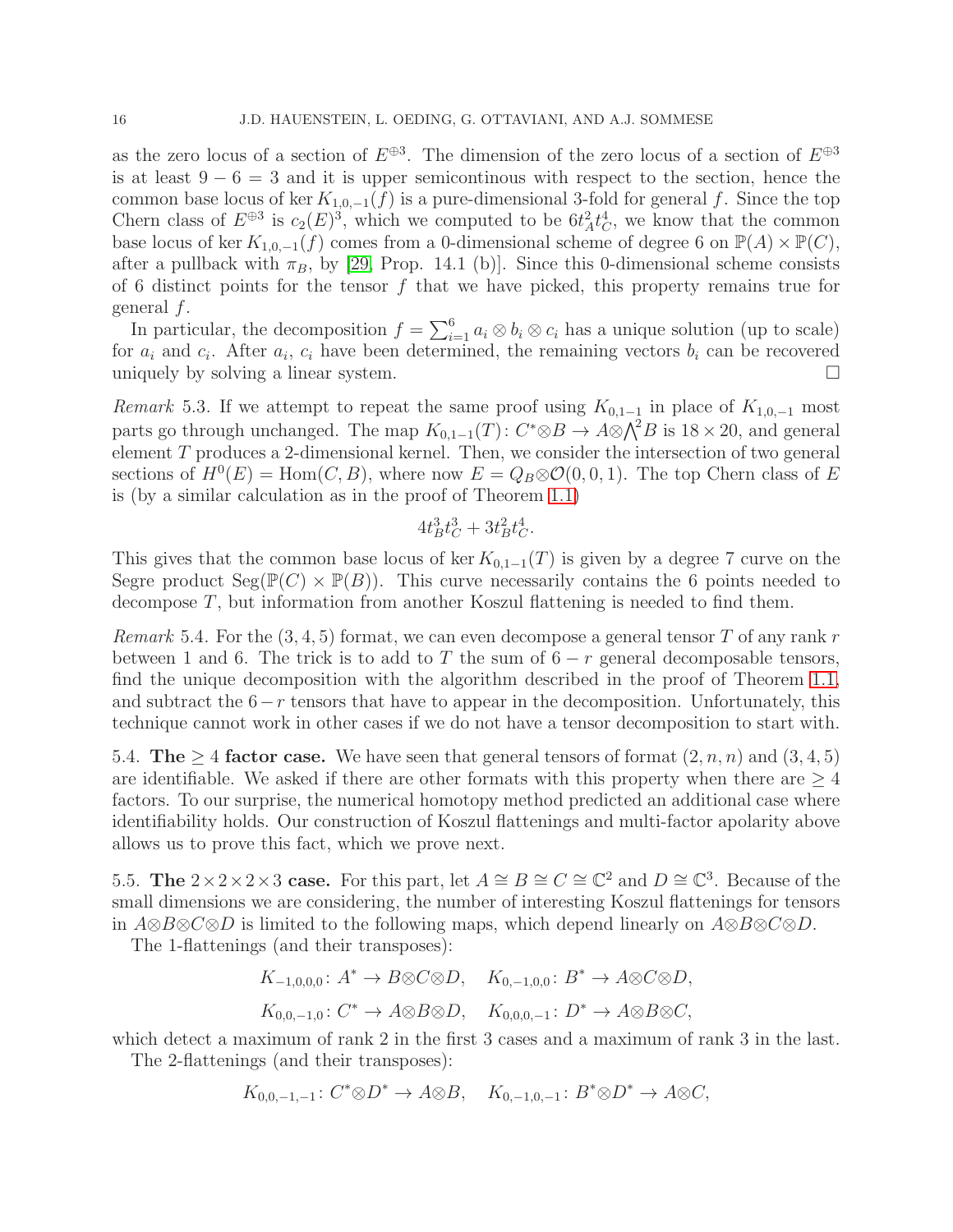as the zero locus of a section of  $E^{\oplus 3}$ . The dimension of the zero locus of a section of  $E^{\oplus 3}$ is at least  $9 - 6 = 3$  and it is upper semicontinous with respect to the section, hence the common base locus of ker  $K_{1,0,-1}(f)$  is a pure-dimensional 3-fold for general f. Since the top Chern class of  $E^{\oplus 3}$  is  $c_2(E)^3$ , which we computed to be  $6t_A^2 t_C^4$ , we know that the common base locus of ker  $K_{1,0,-1}(f)$  comes from a 0-dimensional scheme of degree 6 on  $\mathbb{P}(A) \times \mathbb{P}(C)$ , after a pullback with  $\pi_B$ , by [\[29,](#page-18-19) Prop. 14.1 (b)]. Since this 0-dimensional scheme consists of 6 distinct points for the tensor  $f$  that we have picked, this property remains true for general f.

In particular, the decomposition  $f = \sum_{i=1}^{6} a_i \otimes b_i \otimes c_i$  has a unique solution (up to scale) for  $a_i$  and  $c_i$ . After  $a_i$ ,  $c_i$  have been determined, the remaining vectors  $b_i$  can be recovered uniquely by solving a linear system.

Remark 5.3. If we attempt to repeat the same proof using  $K_{0,1-1}$  in place of  $K_{1,0,-1}$  most parts go through unchanged. The map  $K_{0,1-1}(T)$ :  $C^* \otimes B \to A \otimes \bigwedge^2 B$  is  $18 \times 20$ , and general element  $T$  produces a 2-dimensional kernel. Then, we consider the intersection of two general sections of  $H^0(E) = \text{Hom}(C, B)$ , where now  $E = Q_B \otimes \mathcal{O}(0, 0, 1)$ . The top Chern class of E is (by a similar calculation as in the proof of Theorem [1.1\)](#page-2-1)

$$
4t_B^3t_C^3 + 3t_B^2t_C^4.
$$

This gives that the common base locus of ker  $K_{0,1-1}(T)$  is given by a degree 7 curve on the Segre product  $Seg(\mathbb{P}(C) \times \mathbb{P}(B))$ . This curve necessarily contains the 6 points needed to decompose T, but information from another Koszul flattening is needed to find them.

*Remark* 5.4. For the  $(3, 4, 5)$  format, we can even decompose a general tensor T of any rank r between 1 and 6. The trick is to add to T the sum of  $6 - r$  general decomposable tensors, find the unique decomposition with the algorithm described in the proof of Theorem [1.1,](#page-2-1) and subtract the  $6-r$  tensors that have to appear in the decomposition. Unfortunately, this technique cannot work in other cases if we do not have a tensor decomposition to start with.

5.4. The  $\geq 4$  factor case. We have seen that general tensors of format  $(2, n, n)$  and  $(3, 4, 5)$ are identifiable. We asked if there are other formats with this property when there are  $\geq 4$ factors. To our surprise, the numerical homotopy method predicted an additional case where identifiability holds. Our construction of Koszul flattenings and multi-factor apolarity above allows us to prove this fact, which we prove next.

5.5. The  $2 \times 2 \times 2 \times 3$  case. For this part, let  $A \cong B \cong C \cong \mathbb{C}^2$  and  $D \cong \mathbb{C}^3$ . Because of the small dimensions we are considering, the number of interesting Koszul flattenings for tensors in  $A\otimes B\otimes C\otimes D$  is limited to the following maps, which depend linearly on  $A\otimes B\otimes C\otimes D$ .

The 1-flattenings (and their transposes):

$$
K_{-1,0,0,0} \colon A^* \to B \otimes C \otimes D, \quad K_{0,-1,0,0} \colon B^* \to A \otimes C \otimes D,
$$
  

$$
K_{0,0,-1,0} \colon C^* \to A \otimes B \otimes D, \quad K_{0,0,0,-1} \colon D^* \to A \otimes B \otimes C,
$$

which detect a maximum of rank 2 in the first 3 cases and a maximum of rank 3 in the last.

The 2-flattenings (and their transposes):

$$
K_{0,0,-1,-1}\colon C^*\otimes D^*\to A\otimes B,\quad K_{0,-1,0,-1}\colon B^*\otimes D^*\to A\otimes C,
$$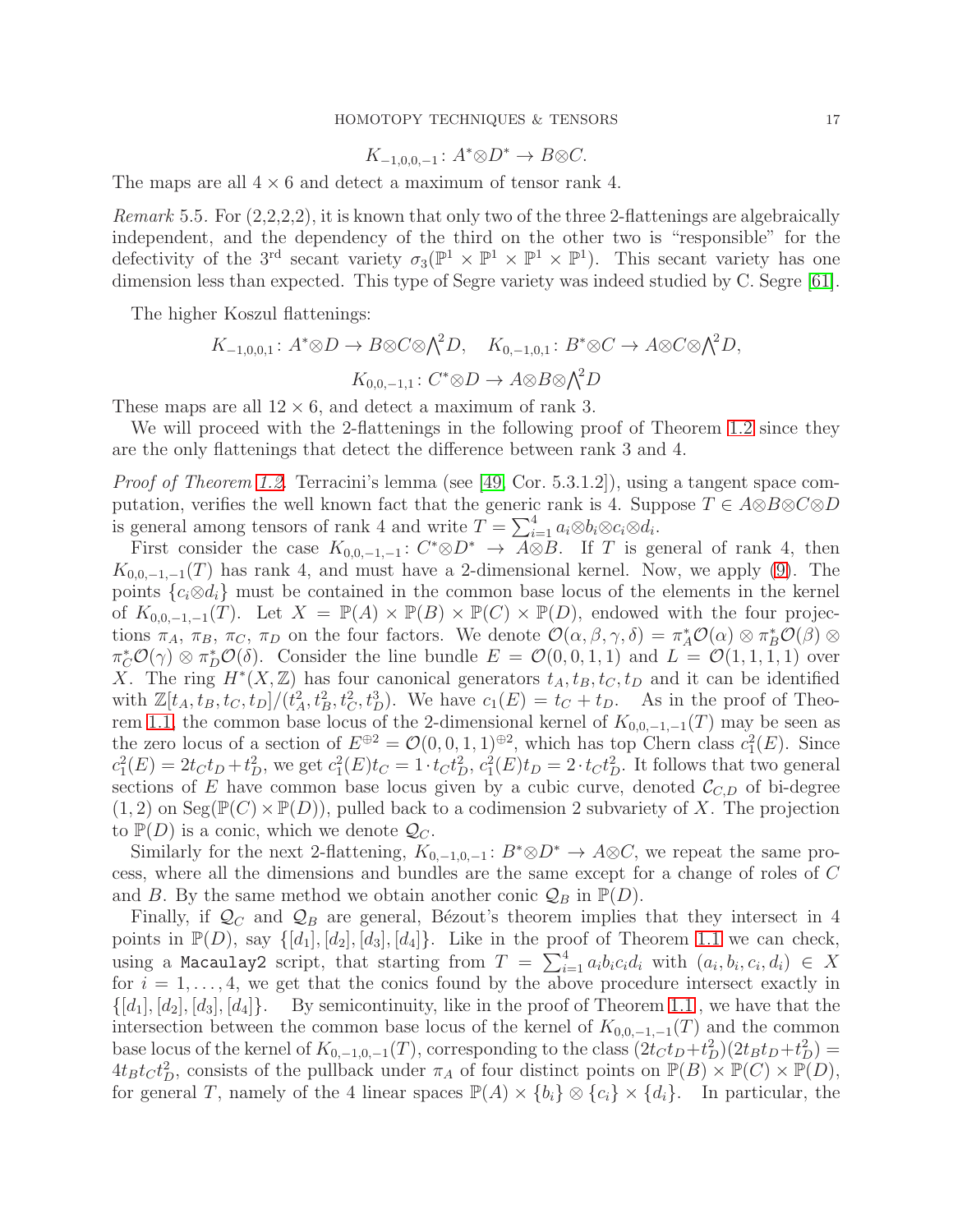$$
K_{-1,0,0,-1} \colon A^* \otimes D^* \to B \otimes C.
$$

The maps are all  $4 \times 6$  and detect a maximum of tensor rank 4.

Remark 5.5. For  $(2,2,2,2)$ , it is known that only two of the three 2-flattenings are algebraically independent, and the dependency of the third on the other two is "responsible" for the defectivity of the 3<sup>rd</sup> secant variety  $\sigma_3(\mathbb{P}^1 \times \mathbb{P}^1 \times \mathbb{P}^1 \times \mathbb{P}^1)$ . This secant variety has one dimension less than expected. This type of Segre variety was indeed studied by C. Segre [\[61\]](#page-19-23).

The higher Koszul flattenings:

$$
K_{-1,0,0,1} \colon A^* \otimes D \to B \otimes C \otimes \bigwedge^2 D, \quad K_{0,-1,0,1} \colon B^* \otimes C \to A \otimes C \otimes \bigwedge^2 D,
$$

$$
K_{0,0,-1,1} \colon C^* \otimes D \to A \otimes B \otimes \bigwedge^2 D
$$

These maps are all  $12 \times 6$ , and detect a maximum of rank 3.

We will proceed with the 2-flattenings in the following proof of Theorem [1.2](#page-2-2) since they are the only flattenings that detect the difference between rank 3 and 4.

*Proof of Theorem [1.2.](#page-2-2)* Terracini's lemma (see [\[49,](#page-19-0) Cor. 5.3.1.2]), using a tangent space computation, verifies the well known fact that the generic rank is 4. Suppose  $T \in A \otimes B \otimes C \otimes D$ is general among tensors of rank 4 and write  $T = \sum_{i=1}^{4} a_i \otimes b_i \otimes c_i \otimes d_i$ .

First consider the case  $K_{0,0,-1,-1}: C^* \otimes D^* \to A \otimes B$ . If T is general of rank 4, then  $K_{0,0,-1,-1}(T)$  has rank 4, and must have a 2-dimensional kernel. Now, we apply [\(9\)](#page-14-0). The points  ${c_i \otimes d_i}$  must be contained in the common base locus of the elements in the kernel of  $K_{0,0,-1,-1}(T)$ . Let  $X = \mathbb{P}(A) \times \mathbb{P}(B) \times \mathbb{P}(C) \times \mathbb{P}(D)$ , endowed with the four projections  $\pi_A$ ,  $\pi_B$ ,  $\pi_C$ ,  $\pi_D$  on the four factors. We denote  $\mathcal{O}(\alpha,\beta,\gamma,\delta) = \pi_A^*\mathcal{O}(\alpha) \otimes \pi_B^*\mathcal{O}(\beta) \otimes$  $\pi_C^* \mathcal{O}(\gamma) \otimes \pi_D^* \mathcal{O}(\delta)$ . Consider the line bundle  $E = \mathcal{O}(0, 0, 1, 1)$  and  $L = \mathcal{O}(1, 1, 1, 1)$  over X. The ring  $H^*(X,\mathbb{Z})$  has four canonical generators  $t_A, t_B, t_C, t_D$  and it can be identified with  $\mathbb{Z}[t_A, t_B, t_C, t_D]/(t_A^2, t_B^2, t_C^2, t_D^3)$ . We have  $c_1(E) = t_C + t_D$ . As in the proof of Theo-rem [1.1,](#page-2-1) the common base locus of the 2-dimensional kernel of  $K_{0,0,-1,-1}(T)$  may be seen as the zero locus of a section of  $E^{\oplus 2} = \mathcal{O}(0, 0, 1, 1)^{\oplus 2}$ , which has top Chern class  $c_1^2(E)$ . Since  $c_1^2(E) = 2t_Ct_D + t_D^2$ , we get  $c_1^2(E)t_C = 1 \cdot t_C t_D^2$ ,  $c_1^2(E)t_D = 2 \cdot t_C t_D^2$ . It follows that two general sections of E have common base locus given by a cubic curve, denoted  $\mathcal{C}_{C,D}$  of bi-degree  $(1, 2)$  on Seg( $\mathbb{P}(C) \times \mathbb{P}(D)$ ), pulled back to a codimension 2 subvariety of X. The projection to  $\mathbb{P}(D)$  is a conic, which we denote  $\mathcal{Q}_C$ .

Similarly for the next 2-flattening,  $K_{0,-1,0,-1}$ :  $B^*\otimes D^* \to A\otimes C$ , we repeat the same process, where all the dimensions and bundles are the same except for a change of roles of C and B. By the same method we obtain another conic  $\mathcal{Q}_B$  in  $\mathbb{P}(D)$ .

Finally, if  $\mathcal{Q}_C$  and  $\mathcal{Q}_B$  are general, Bézout's theorem implies that they intersect in 4 points in  $\mathbb{P}(D)$ , say  $\{[d_1], [d_2], [d_3], [d_4]\}$ . Like in the proof of Theorem [1.1](#page-2-1) we can check, using a Macaulay2 script, that starting from  $T = \sum_{i=1}^{4} a_i b_i c_i d_i$  with  $(a_i, b_i, c_i, d_i) \in X$ for  $i = 1, \ldots, 4$ , we get that the conics found by the above procedure intersect exactly in  $\{[d_1], [d_2], [d_3], [d_4]\}.$  By semicontinuity, like in the proof of Theorem [1.1](#page-2-1), we have that the intersection between the common base locus of the kernel of  $K_{0,0,-1,-1}(T)$  and the common base locus of the kernel of  $K_{0,-1,0,-1}(T)$ , corresponding to the class  $(2t_Ct_D + t_D^2)(2t_Bt_D + t_D^2)$  $4t_B t_C t_D^2$ , consists of the pullback under  $\pi_A$  of four distinct points on  $\mathbb{P}(B) \times \mathbb{P}(C) \times \mathbb{P}(D)$ , for general T, namely of the 4 linear spaces  $\mathbb{P}(A) \times \{b_i\} \otimes \{c_i\} \times \{d_i\}$ . In particular, the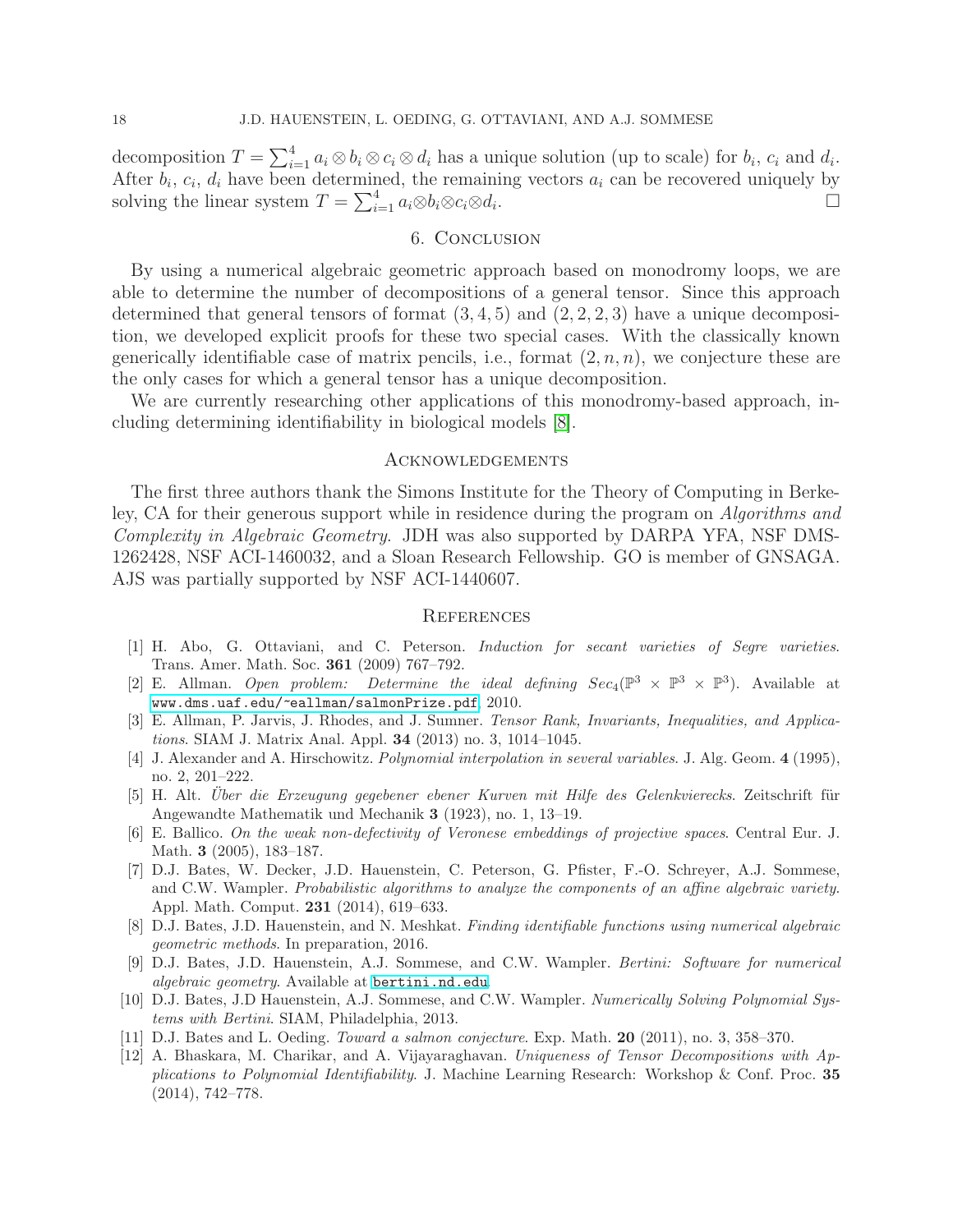decomposition  $T = \sum_{i=1}^{4} a_i \otimes b_i \otimes c_i \otimes d_i$  has a unique solution (up to scale) for  $b_i$ ,  $c_i$  and  $d_i$ . After  $b_i$ ,  $c_i$ ,  $d_i$  have been determined, the remaining vectors  $a_i$  can be recovered uniquely by solving the linear system  $T = \sum_{i=1}^{4} a_i \otimes b_i \otimes c_i \otimes d_i$ . В последните последните последните и последните и последните и последните и последните и последните и послед<br>В последните последните последните и последните и последните и последните и последните и последните и последни

### 6. Conclusion

By using a numerical algebraic geometric approach based on monodromy loops, we are able to determine the number of decompositions of a general tensor. Since this approach determined that general tensors of format  $(3, 4, 5)$  and  $(2, 2, 2, 3)$  have a unique decomposition, we developed explicit proofs for these two special cases. With the classically known generically identifiable case of matrix pencils, i.e., format  $(2, n, n)$ , we conjecture these are the only cases for which a general tensor has a unique decomposition.

We are currently researching other applications of this monodromy-based approach, including determining identifiability in biological models [\[8\]](#page-17-11).

### Acknowledgements

The first three authors thank the Simons Institute for the Theory of Computing in Berkeley, CA for their generous support while in residence during the program on Algorithms and Complexity in Algebraic Geometry. JDH was also supported by DARPA YFA, NSF DMS-1262428, NSF ACI-1460032, and a Sloan Research Fellowship. GO is member of GNSAGA. AJS was partially supported by NSF ACI-1440607.

### **REFERENCES**

- <span id="page-17-8"></span>[1] H. Abo, G. Ottaviani, and C. Peterson. Induction for secant varieties of Segre varieties. Trans. Amer. Math. Soc. 361 (2009) 767–792.
- <span id="page-17-4"></span>[2] E. Allman. Open problem: Determine the ideal defining  $Sec_4(\mathbb{P}^3 \times \mathbb{P}^3 \times \mathbb{P}^3)$ . Available at <www.dms.uaf.edu/~eallman/salmonPrize.pdf>, 2010.
- <span id="page-17-6"></span>[3] E. Allman, P. Jarvis, J. Rhodes, and J. Sumner. Tensor Rank, Invariants, Inequalities, and Applications. SIAM J. Matrix Anal. Appl. 34 (2013) no. 3, 1014–1045.
- <span id="page-17-9"></span>[4] J. Alexander and A. Hirschowitz. Polynomial interpolation in several variables. J. Alg. Geom. 4 (1995), no. 2, 201–222.
- <span id="page-17-5"></span>[5] H. Alt. Über die Erzeugung gegebener ebener Kurven mit Hilfe des Gelenkvierecks. Zeitschrift für Angewandte Mathematik und Mechanik 3 (1923), no. 1, 13–19.
- <span id="page-17-10"></span>[6] E. Ballico. On the weak non-defectivity of Veronese embeddings of projective spaces. Central Eur. J. Math. 3 (2005), 183–187.
- <span id="page-17-2"></span>[7] D.J. Bates, W. Decker, J.D. Hauenstein, C. Peterson, G. Pfister, F.-O. Schreyer, A.J. Sommese, and C.W. Wampler. Probabilistic algorithms to analyze the components of an affine algebraic variety. Appl. Math. Comput. 231 (2014), 619–633.
- <span id="page-17-11"></span>[8] D.J. Bates, J.D. Hauenstein, and N. Meshkat. Finding identifiable functions using numerical algebraic geometric methods. In preparation, 2016.
- <span id="page-17-1"></span>[9] D.J. Bates, J.D. Hauenstein, A.J. Sommese, and C.W. Wampler. Bertini: Software for numerical algebraic geometry. Available at <bertini.nd.edu>.
- <span id="page-17-0"></span>[10] D.J. Bates, J.D Hauenstein, A.J. Sommese, and C.W. Wampler. Numerically Solving Polynomial Systems with Bertini. SIAM, Philadelphia, 2013.
- <span id="page-17-7"></span><span id="page-17-3"></span>[11] D.J. Bates and L. Oeding. Toward a salmon conjecture. Exp. Math. 20 (2011), no. 3, 358–370.
- [12] A. Bhaskara, M. Charikar, and A. Vijayaraghavan. Uniqueness of Tensor Decompositions with Applications to Polynomial Identifiability. J. Machine Learning Research: Workshop & Conf. Proc. 35 (2014), 742–778.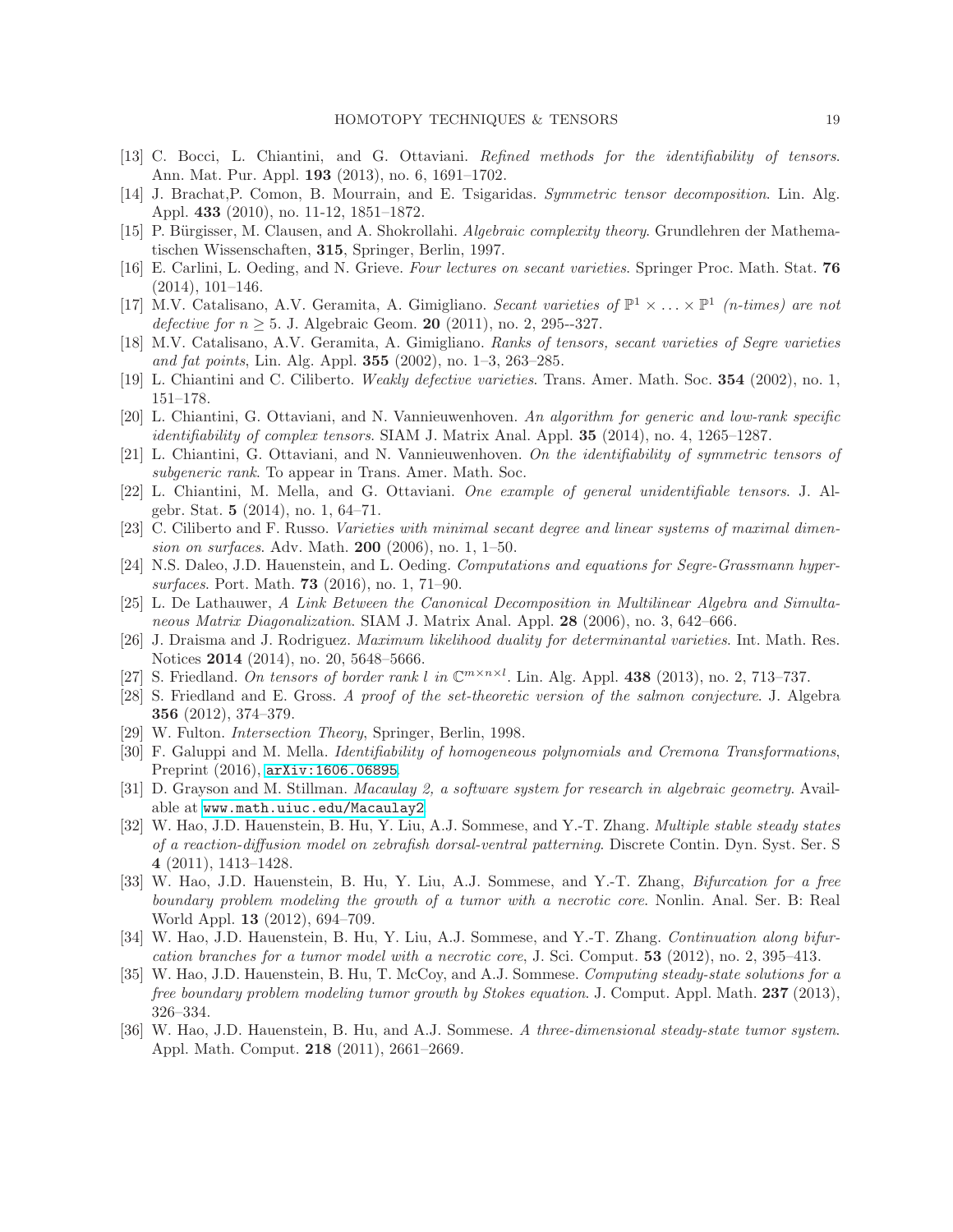- <span id="page-18-11"></span><span id="page-18-6"></span>[13] C. Bocci, L. Chiantini, and G. Ottaviani. Refined methods for the identifiability of tensors. Ann. Mat. Pur. Appl. 193 (2013), no. 6, 1691–1702.
- <span id="page-18-0"></span>[14] J. Brachat,P. Comon, B. Mourrain, and E. Tsigaridas. Symmetric tensor decomposition. Lin. Alg. Appl. 433 (2010), no. 11-12, 1851–1872.
- <span id="page-18-9"></span>[15] P. Bürgisser, M. Clausen, and A. Shokrollahi. Algebraic complexity theory. Grundlehren der Mathematischen Wissenschaften, 315, Springer, Berlin, 1997.
- [16] E. Carlini, L. Oeding, and N. Grieve. Four lectures on secant varieties. Springer Proc. Math. Stat. 76 (2014), 101–146.
- <span id="page-18-17"></span>[17] M.V. Catalisano, A.V. Geramita, A. Gimigliano. Secant varieties of  $\mathbb{P}^1 \times \ldots \times \mathbb{P}^1$  (n-times) are not *defective for n*  $> 5$ . J. Algebraic Geom. **20** (2011), no. 2, 295--327.
- <span id="page-18-13"></span><span id="page-18-10"></span>[18] M.V. Catalisano, A.V. Geramita, A. Gimigliano. Ranks of tensors, secant varieties of Segre varieties and fat points, Lin. Alg. Appl. 355 (2002), no. 1–3, 263–285.
- <span id="page-18-12"></span>[19] L. Chiantini and C. Ciliberto. Weakly defective varieties. Trans. Amer. Math. Soc. 354 (2002), no. 1, 151–178.
- [20] L. Chiantini, G. Ottaviani, and N. Vannieuwenhoven. An algorithm for generic and low-rank specific identifiability of complex tensors. SIAM J. Matrix Anal. Appl. 35 (2014), no. 4, 1265–1287.
- <span id="page-18-18"></span><span id="page-18-16"></span>[21] L. Chiantini, G. Ottaviani, and N. Vannieuwenhoven. On the identifiability of symmetric tensors of subgeneric rank. To appear in Trans. Amer. Math. Soc.
- [22] L. Chiantini, M. Mella, and G. Ottaviani. One example of general unidentifiable tensors. J. Algebr. Stat. 5 (2014), no. 1, 64–71.
- <span id="page-18-15"></span>[23] C. Ciliberto and F. Russo. Varieties with minimal secant degree and linear systems of maximal dimension on surfaces. Adv. Math. 200 (2006), no. 1, 1–50.
- <span id="page-18-1"></span>[24] N.S. Daleo, J.D. Hauenstein, and L. Oeding. Computations and equations for Segre-Grassmann hypersurfaces. Port. Math. 73 (2016), no. 1, 71–90.
- <span id="page-18-14"></span>[25] L. De Lathauwer, A Link Between the Canonical Decomposition in Multilinear Algebra and Simultaneous Matrix Diagonalization. SIAM J. Matrix Anal. Appl. 28 (2006), no. 3, 642–666.
- <span id="page-18-4"></span>[26] J. Draisma and J. Rodriguez. Maximum likelihood duality for determinantal varieties. Int. Math. Res. Notices 2014 (2014), no. 20, 5648–5666.
- <span id="page-18-3"></span><span id="page-18-2"></span>[27] S. Friedland. On tensors of border rank l in  $\mathbb{C}^{m \times n \times l}$ . Lin. Alg. Appl. 438 (2013), no. 2, 713–737.
- [28] S. Friedland and E. Gross. A proof of the set-theoretic version of the salmon conjecture. J. Algebra 356 (2012), 374–379.
- <span id="page-18-19"></span><span id="page-18-8"></span>[29] W. Fulton. Intersection Theory, Springer, Berlin, 1998.
- [30] F. Galuppi and M. Mella. Identifiability of homogeneous polynomials and Cremona Transformations, Preprint (2016), [arXiv:1606.06895](http://arxiv.org/abs/1606.06895).
- <span id="page-18-7"></span>[31] D. Grayson and M. Stillman. Macaulay 2, a software system for research in algebraic geometry. Available at <www.math.uiuc.edu/Macaulay2>.
- <span id="page-18-5"></span>[32] W. Hao, J.D. Hauenstein, B. Hu, Y. Liu, A.J. Sommese, and Y.-T. Zhang. Multiple stable steady states of a reaction-diffusion model on zebrafish dorsal-ventral patterning. Discrete Contin. Dyn. Syst. Ser. S 4 (2011), 1413–1428.
- [33] W. Hao, J.D. Hauenstein, B. Hu, Y. Liu, A.J. Sommese, and Y.-T. Zhang, Bifurcation for a free boundary problem modeling the growth of a tumor with a necrotic core. Nonlin. Anal. Ser. B: Real World Appl. 13 (2012), 694–709.
- [34] W. Hao, J.D. Hauenstein, B. Hu, Y. Liu, A.J. Sommese, and Y.-T. Zhang. Continuation along bifurcation branches for a tumor model with a necrotic core, J. Sci. Comput. 53 (2012), no. 2, 395–413.
- [35] W. Hao, J.D. Hauenstein, B. Hu, T. McCoy, and A.J. Sommese. Computing steady-state solutions for a free boundary problem modeling tumor growth by Stokes equation. J. Comput. Appl. Math. 237 (2013), 326–334.
- [36] W. Hao, J.D. Hauenstein, B. Hu, and A.J. Sommese. A three-dimensional steady-state tumor system. Appl. Math. Comput. 218 (2011), 2661–2669.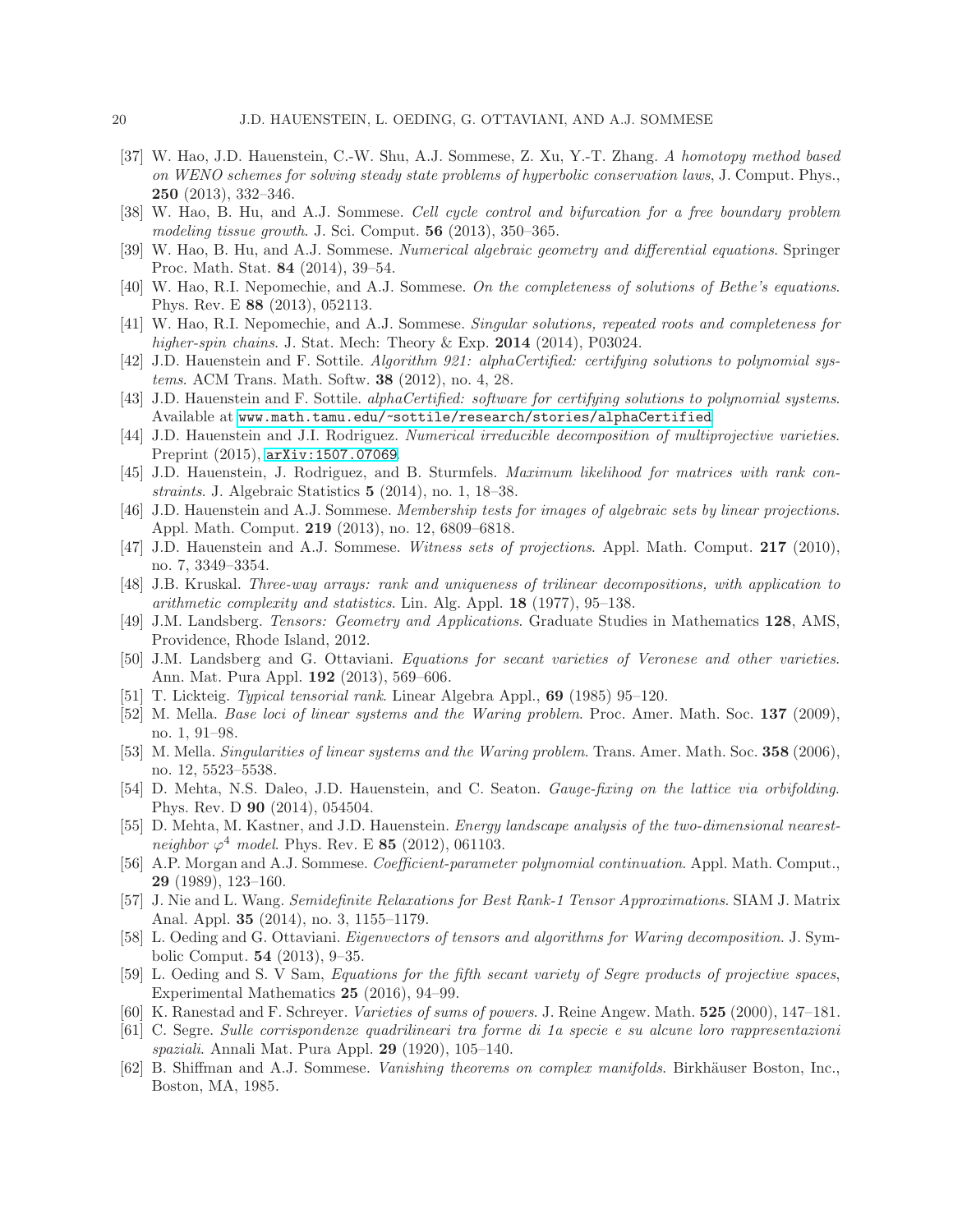- [37] W. Hao, J.D. Hauenstein, C.-W. Shu, A.J. Sommese, Z. Xu, Y.-T. Zhang. A homotopy method based on WENO schemes for solving steady state problems of hyperbolic conservation laws, J. Comput. Phys., 250 (2013), 332–346.
- [38] W. Hao, B. Hu, and A.J. Sommese. Cell cycle control and bifurcation for a free boundary problem modeling tissue growth. J. Sci. Comput. 56 (2013), 350–365.
- <span id="page-19-6"></span><span id="page-19-2"></span>[39] W. Hao, B. Hu, and A.J. Sommese. Numerical algebraic geometry and differential equations. Springer Proc. Math. Stat. 84 (2014), 39–54.
- <span id="page-19-3"></span>[40] W. Hao, R.I. Nepomechie, and A.J. Sommese. On the completeness of solutions of Bethe's equations. Phys. Rev. E 88 (2013), 052113.
- [41] W. Hao, R.I. Nepomechie, and A.J. Sommese. Singular solutions, repeated roots and completeness for higher-spin chains. J. Stat. Mech: Theory & Exp.  $2014$  (2014), P03024.
- <span id="page-19-7"></span>[42] J.D. Hauenstein and F. Sottile. Algorithm 921: alphaCertified: certifying solutions to polynomial systems. ACM Trans. Math. Softw. 38 (2012), no. 4, 28.
- <span id="page-19-8"></span>[43] J.D. Hauenstein and F. Sottile. alphaCertified: software for certifying solutions to polynomial systems. Available at <www.math.tamu.edu/~sottile/research/stories/alphaCertified>.
- <span id="page-19-21"></span>[44] J.D. Hauenstein and J.I. Rodriguez. Numerical irreducible decomposition of multiprojective varieties. Preprint (2015), [arXiv:1507.07069](http://arxiv.org/abs/1507.07069).
- <span id="page-19-1"></span>[45] J.D. Hauenstein, J. Rodriguez, and B. Sturmfels. Maximum likelihood for matrices with rank constraints. J. Algebraic Statistics 5 (2014), no. 1, 18–38.
- <span id="page-19-17"></span>[46] J.D. Hauenstein and A.J. Sommese. Membership tests for images of algebraic sets by linear projections. Appl. Math. Comput. 219 (2013), no. 12, 6809–6818.
- <span id="page-19-18"></span>[47] J.D. Hauenstein and A.J. Sommese. Witness sets of projections. Appl. Math. Comput. 217 (2010), no. 7, 3349–3354.
- <span id="page-19-14"></span>[48] J.B. Kruskal. Three-way arrays: rank and uniqueness of trilinear decompositions, with application to arithmetic complexity and statistics. Lin. Alg. Appl. 18 (1977), 95–138.
- <span id="page-19-0"></span>[49] J.M. Landsberg. Tensors: Geometry and Applications. Graduate Studies in Mathematics 128, AMS, Providence, Rhode Island, 2012.
- <span id="page-19-22"></span>[50] J.M. Landsberg and G. Ottaviani. Equations for secant varieties of Veronese and other varieties. Ann. Mat. Pura Appl. 192 (2013), 569–606.
- <span id="page-19-16"></span><span id="page-19-12"></span>[51] T. Lickteig. Typical tensorial rank. Linear Algebra Appl., 69 (1985) 95–120.
- [52] M. Mella. *Base loci of linear systems and the Waring problem.* Proc. Amer. Math. Soc. 137 (2009), no. 1, 91–98.
- <span id="page-19-11"></span>[53] M. Mella. Singularities of linear systems and the Waring problem. Trans. Amer. Math. Soc. 358 (2006), no. 12, 5523–5538.
- <span id="page-19-4"></span>[54] D. Mehta, N.S. Daleo, J.D. Hauenstein, and C. Seaton. *Gauge-fixing on the lattice via orbifolding*. Phys. Rev. D 90 (2014), 054504.
- <span id="page-19-5"></span>[55] D. Mehta, M. Kastner, and J.D. Hauenstein. *Energy landscape analysis of the two-dimensional nearest*neighbor  $\varphi^4$  model. Phys. Rev. E 85 (2012), 061103.
- <span id="page-19-20"></span>[56] A.P. Morgan and A.J. Sommese. *Coefficient-parameter polynomial continuation*. Appl. Math. Comput., 29 (1989), 123–160.
- <span id="page-19-9"></span>[57] J. Nie and L. Wang. Semidefinite Relaxations for Best Rank-1 Tensor Approximations. SIAM J. Matrix Anal. Appl. 35 (2014), no. 3, 1155–1179.
- <span id="page-19-10"></span>[58] L. Oeding and G. Ottaviani. Eigenvectors of tensors and algorithms for Waring decomposition. J. Symbolic Comput. 54 (2013), 9–35.
- <span id="page-19-15"></span>[59] L. Oeding and S. V Sam, Equations for the fifth secant variety of Segre products of projective spaces, Experimental Mathematics 25 (2016), 94–99.
- <span id="page-19-23"></span><span id="page-19-13"></span>[60] K. Ranestad and F. Schreyer. Varieties of sums of powers. J. Reine Angew. Math. 525 (2000), 147-181.
- [61] C. Segre. Sulle corrispondenze quadrilineari tra forme di 1a specie e su alcune loro rappresentazioni spaziali. Annali Mat. Pura Appl. 29 (1920), 105–140.
- <span id="page-19-19"></span>[62] B. Shiffman and A.J. Sommese. Vanishing theorems on complex manifolds. Birkhäuser Boston, Inc., Boston, MA, 1985.